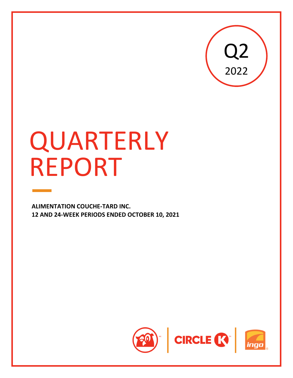

# QUARTERLY REPORT

**ALIMENTATION COUCHE‐TARD INC. 12 AND 24‐WEEK PERIODS ENDED OCTOBER 10, 2021**

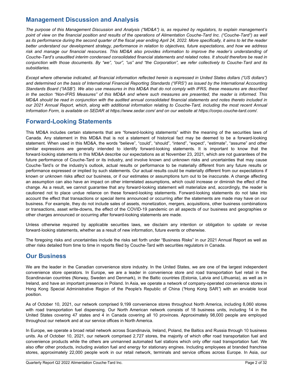# **Management Discussion and Analysis**

*The purpose of this Management Discussion and Analysis ("MD&A") is, as required by regulators, to explain management's*  point of view on the financial position and results of the operations of Alimentation Couche-Tard Inc. ("Couche-Tard") as well as its performance during the second quarter of the fiscal year ending April 24, 2022. More specifically, it aims to let the reader *better understand our development strategy, performance in relation to objectives, future expectations, and how we address risk and manage our financial resources. This MD&A also provides information to improve the reader's understanding of Couche-Tard's unaudited interim condensed consolidated financial statements and related notes. It should therefore be read in conjunction with those documents. By "we", "our", "us" and "the Corporation", we refer collectively to Couche-Tard and its subsidiaries.*

*Except where otherwise indicated, all financial information reflected herein is expressed in United States dollars ("US dollars") and determined on the basis of International Financial Reporting Standards ("IFRS") as issued by the International Accounting Standards Board ("IASB"). We also use measures in this MD&A that do not comply with IFRS, these measures are described in the section "Non-IFRS Measures" of this MD&A and where such measures are presented, the reader is informed. This MD&A should be read in conjunction with the audited annual consolidated financial statements and notes thereto included in our 2021 Annual Report, which, along with additional information relating to Couche-Tard, including the most recent Annual Information Form, is available on SEDAR at https://www.sedar.com/ and on our website at https://corpo.couche-tard.com/.*

## **Forward-Looking Statements**

This MD&A includes certain statements that are "forward-looking statements" within the meaning of the securities laws of Canada. Any statement in this MD&A that is not a statement of historical fact may be deemed to be a forward-looking statement. When used in this MD&A, the words "believe", "could", "should", "intend", "expect", "estimate", "assume" and other similar expressions are generally intended to identify forward-looking statements. It is important to know that the forward-looking statements in this MD&A describe our expectations as at November 23, 2021, which are not guarantees of the future performance of Couche-Tard or its industry, and involve known and unknown risks and uncertainties that may cause Couche‑Tard's or the industry's outlook, actual results or performance to be materially different from any future results or performance expressed or implied by such statements. Our actual results could be materially different from our expectations if known or unknown risks affect our business, or if our estimates or assumptions turn out to be inaccurate. A change affecting an assumption can also have an impact on other interrelated assumptions, which could increase or diminish the effect of the change. As a result, we cannot guarantee that any forward-looking statement will materialize and, accordingly, the reader is cautioned not to place undue reliance on these forward-looking statements. Forward-looking statements do not take into account the effect that transactions or special items announced or occurring after the statements are made may have on our business. For example, they do not include sales of assets, monetization, mergers, acquisitions, other business combinations or transactions, asset write-downs, the effect of the COVID-19 pandemic on all aspects of our business and geographies or other charges announced or occurring after forward-looking statements are made.

Unless otherwise required by applicable securities laws, we disclaim any intention or obligation to update or revise forward-looking statements, whether as a result of new information, future events or otherwise.

The foregoing risks and uncertainties include the risks set forth under "Business Risks" in our 2021 Annual Report as well as other risks detailed from time to time in reports filed by Couche-Tard with securities regulators in Canada.

## **Our Business**

We are the leader in the Canadian convenience store industry. In the United States, we are one of the largest independent convenience store operators. In Europe, we are a leader in convenience store and road transportation fuel retail in the Scandinavian countries (Norway, Sweden and Denmark), in the Baltic countries (Estonia, Latvia and Lithuania), as well as in Ireland, and have an important presence in Poland. In Asia, we operate a network of company-operated convenience stores in Hong Kong Special Administrative Region of the People's Republic of China (*"*Hong Kong SAR*"*) with an enviable local position.

As of October 10, 2021, our network comprised 9,199 convenience stores throughout North America, including 8,060 stores with road transportation fuel dispensing. Our North American network consists of 18 business units, including 14 in the United States covering 47 states and 4 in Canada covering all 10 provinces. Approximately 98,000 people are employed throughout our network and at our service offices in North America.

In Europe, we operate a broad retail network across Scandinavia, Ireland, Poland, the Baltics and Russia through 10 business units. As of October 10, 2021, our network comprised 2,727 stores, the majority of which offer road transportation fuel and convenience products while the others are unmanned automated fuel stations which only offer road transportation fuel. We also offer other products, including aviation fuel and energy for stationary engines. Including employees at branded franchise stores, approximately 22,000 people work in our retail network, terminals and service offices across Europe. In Asia, our

 $\mathcal{L}_\mathcal{L} = \mathcal{L}_\mathcal{L} = \mathcal{L}_\mathcal{L} = \mathcal{L}_\mathcal{L} = \mathcal{L}_\mathcal{L} = \mathcal{L}_\mathcal{L} = \mathcal{L}_\mathcal{L} = \mathcal{L}_\mathcal{L} = \mathcal{L}_\mathcal{L} = \mathcal{L}_\mathcal{L} = \mathcal{L}_\mathcal{L} = \mathcal{L}_\mathcal{L} = \mathcal{L}_\mathcal{L} = \mathcal{L}_\mathcal{L} = \mathcal{L}_\mathcal{L} = \mathcal{L}_\mathcal{L} = \mathcal{L}_\mathcal{L}$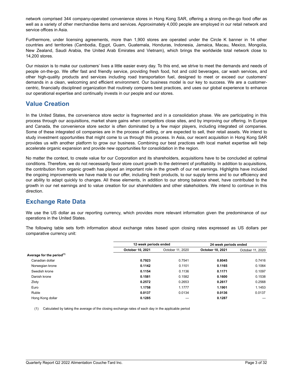network comprised 344 company-operated convenience stores in Hong Kong SAR, offering a strong on-the-go food offer as well as a variety of other merchandise items and services. Approximately 4,000 people are employed in our retail network and service offices in Asia.

Furthermore, under licensing agreements, more than 1,900 stores are operated under the Circle K banner in 14 other countries and territories (Cambodia, Egypt, Guam, Guatemala, Honduras, Indonesia, Jamaica, Macau, Mexico, Mongolia, New Zealand, Saudi Arabia, the United Arab Emirates and Vietnam), which brings the worldwide total network close to 14,200 stores.

Our mission is to make our customers' lives a little easier every day. To this end, we strive to meet the demands and needs of people on-the-go. We offer fast and friendly service, providing fresh food, hot and cold beverages, car wash services, and other high-quality products and services including road transportation fuel, designed to meet or exceed our customers' demands in a clean, welcoming and efficient environment. Our business model is our key to success. We are a customercentric, financially disciplined organization that routinely compares best practices, and uses our global experience to enhance our operational expertise and continually invests in our people and our stores.

## **Value Creation**

In the United States, the convenience store sector is fragmented and in a consolidation phase. We are participating in this process through our acquisitions, market share gains when competitors close sites, and by improving our offering. In Europe and Canada, the convenience store sector is often dominated by a few major players, including integrated oil companies. Some of these integrated oil companies are in the process of selling, or are expected to sell, their retail assets. We intend to study investment opportunities that might come to us through this process. In Asia, our recent acquisition in Hong Kong SAR provides us with another platform to grow our business. Combining our best practices with local market expertise will help accelerate organic expansion and provide new opportunities for consolidation in the region.

No matter the context, to create value for our Corporation and its shareholders, acquisitions have to be concluded at optimal conditions. Therefore, we do not necessarily favor store count growth to the detriment of profitability. In addition to acquisitions, the contribution from organic growth has played an important role in the growth of our net earnings. Highlights have included the ongoing improvements we have made to our offer, including fresh products, to our supply terms and to our efficiency and our ability to adapt quickly to changes. All these elements, in addition to our strong balance sheet, have contributed to the growth in our net earnings and to value creation for our shareholders and other stakeholders. We intend to continue in this direction.

# **Exchange Rate Data**

We use the US dollar as our reporting currency, which provides more relevant information given the predominance of our operations in the United States.

The following table sets forth information about exchange rates based upon closing rates expressed as US dollars per comparative currency unit:

|                                       |                  | 12-week periods ended |                  | 24-week periods ended |
|---------------------------------------|------------------|-----------------------|------------------|-----------------------|
|                                       | October 10, 2021 | October 11, 2020      | October 10, 2021 | October 11, 2020      |
| Average for the period <sup>(1)</sup> |                  |                       |                  |                       |
| Canadian dollar                       | 0.7923           | 0.7541                | 0.8045           | 0.7416                |
| Norwegian krone                       | 0.1142           | 0.1101                | 0.1165           | 0.1064                |
| Swedish krone                         | 0.1154           | 0.1136                | 0.1171           | 0.1097                |
| Danish krone                          | 0.1581           | 0.1582                | 0.1600           | 0.1538                |
| Zloty                                 | 0.2572           | 0.2653                | 0.2617           | 0.2568                |
| Euro                                  | 1.1758           | 1.1777                | 1.1901           | 1.1453                |
| Ruble                                 | 0.0137           | 0.0134                | 0.0136           | 0.0137                |
| Hong Kong dollar                      | 0.1285           |                       | 0.1287           |                       |

 $\mathcal{L}_\mathcal{L} = \mathcal{L}_\mathcal{L} = \mathcal{L}_\mathcal{L} = \mathcal{L}_\mathcal{L} = \mathcal{L}_\mathcal{L} = \mathcal{L}_\mathcal{L} = \mathcal{L}_\mathcal{L} = \mathcal{L}_\mathcal{L} = \mathcal{L}_\mathcal{L} = \mathcal{L}_\mathcal{L} = \mathcal{L}_\mathcal{L} = \mathcal{L}_\mathcal{L} = \mathcal{L}_\mathcal{L} = \mathcal{L}_\mathcal{L} = \mathcal{L}_\mathcal{L} = \mathcal{L}_\mathcal{L} = \mathcal{L}_\mathcal{L}$ 

(1) Calculated by taking the average of the closing exchange rates of each day in the applicable period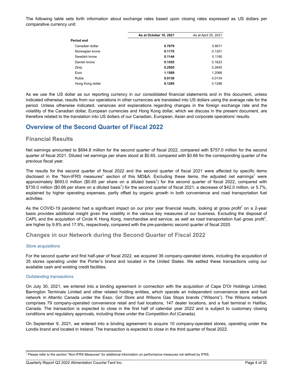The following table sets forth information about exchange rates based upon closing rates expressed as US dollars per comparative currency unit:

|                  | As at October 10, 2021 | As at April 25, 2021 |
|------------------|------------------------|----------------------|
| Period end       |                        |                      |
| Canadian dollar  | 0.7979                 | 0.8011               |
| Norwegian krone  | 0.1170                 | 0.1201               |
| Swedish krone    | 0.1144                 | 0.1190               |
| Danish krone     | 0.1555                 | 0.1623               |
| Zloty            | 0.2505                 | 0.2645               |
| Euro             | 1.1569                 | 1.2066               |
| Ruble            | 0.0139                 | 0.0134               |
| Hong Kong dollar | 0.1285                 | 0.1288               |
|                  |                        |                      |

As we use the US dollar as our reporting currency in our consolidated financial statements and in this document, unless indicated otherwise, results from our operations in other currencies are translated into US dollars using the average rate for the period. Unless otherwise indicated, variances and explanations regarding changes in the foreign exchange rate and the volatility of the Canadian dollar, European currencies and Hong Kong dollar, which we discuss in the present document, are therefore related to the translation into US dollars of our Canadian, European, Asian and corporate operations' results.

## **Overview of the Second Quarter of Fiscal 2022**

## **Financial Results**

Net earnings amounted to \$694.8 million for the second quarter of fiscal 2022, compared with \$757.0 million for the second quarter of fiscal 2021. Diluted net earnings per share stood at \$0.65, compared with \$0.68 for the corresponding quarter of the previous fiscal year.

The results for the second quarter of fiscal 2022 and the second quarter of fiscal 2021 were affected by specific items disclosed in the "Non-IFRS measures" section of this MD&A. Excluding these items, the adjusted net earnings<sup>1</sup> were approximately \$693.0 million (\$0.65 per share on a diluted basis<sup>1</sup>) for the second quarter of fiscal 2022, compared with \$735.0 million (\$0.66 per share on a diluted basis<sup>1</sup>) for the second quarter of fiscal 2021, a decrease of \$42.0 million, or 5.7%, explained by higher operating expenses, partly offset by organic growth in both convenience and road transportation fuel activities.

As the COVID-19 pandemic had a significant impact on our prior year financial results, looking at gross profit<sup>1</sup> on a 2-year basis provides additional insight given the volatility in the various key measures of our business. Excluding the disposal of CAPL and the acquisition of Circle K Hong Kong, merchandise and service, as well as road transportation fuel gross profit<sup>1</sup>, are higher by 9.8% and 17.9%, respectively, compared with the pre-pandemic second quarter of fiscal 2020.

## **Changes in our Network during the Second Quarter of Fiscal 2022**

#### *Store acquisitions*

For the second quarter and first half-year of fiscal 2022, we acquired 36 company-operated stores, including the acquisition of 35 stores operating under the Porter's brand and located in the United States. We settled these transactions using our available cash and existing credit facilities.

#### *Outstanding transactions*

On July 30, 2021, we entered into a binding agreement in connection with the acquisition of Cape D'Or Holdings Limited, Barrington Terminals Limited and other related holding entities, which operate an independent convenience store and fuel network in Atlantic Canada under the Esso, Go! Store and Wilsons Gas Stops brands ("Wilsons"). The Wilsons network comprises 79 company-operated convenience retail and fuel locations, 147 dealer locations, and a fuel terminal in Halifax, Canada. The transaction is expected to close in the first half of calendar year 2022 and is subject to customary closing conditions and regulatory approvals, including those under the *Competition Act* (Canada).

On September 9, 2021, we entered into a binding agreement to acquire 10 company-operated stores, operating under the Londis brand and located in Ireland. The transaction is expected to close in the third quarter of fiscal 2022.

Quarterly Report Q2 2022 Alimentation Couche-Tard Inc.

<sup>&</sup>lt;sup>1</sup> Please refer to the section "Non-IFRS Measures" for additional information on performance measures not defined by IFRS.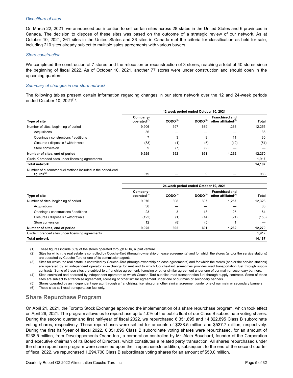#### *Divestiture of sites*

On March 22, 2021, we announced our intention to sell certain sites across 28 states in the United States and 6 provinces in Canada. The decision to dispose of these sites was based on the outcome of a strategic review of our network. As at October 10, 2021, 261 sites in the United States and 36 sites in Canada met the criteria for classification as held for sale, including 210 sites already subject to multiple sales agreements with various buyers.

#### *Store construction*

We completed the construction of 7 stores and the relocation or reconstruction of 3 stores, reaching a total of 40 stores since the beginning of fiscal 2022. As of October 10, 2021, another 77 stores were under construction and should open in the upcoming quarters.

#### *Summary of changes in our store network*

The following tables present certain information regarding changes in our store network over the 12 and 24‑week periods ended October 10,  $2021^{(1)}$ :

|                                                                                        | 12-week period ended October 10, 2021 |                     |                     |                                                          |        |
|----------------------------------------------------------------------------------------|---------------------------------------|---------------------|---------------------|----------------------------------------------------------|--------|
| Type of site                                                                           | Company-<br>operated $^{(2)}$         | $\text{CODO}^{(3)}$ | DODO <sup>(4)</sup> | <b>Franchised and</b><br>other affiliated <sup>(5)</sup> | Total  |
| Number of sites, beginning of period                                                   | 9,906                                 | 397                 | 689                 | 1.263                                                    | 12.255 |
| Acquisitions                                                                           | 36                                    |                     |                     |                                                          | 36     |
| Openings / constructions / additions                                                   |                                       | 3                   | 9                   | 11                                                       | 30     |
| Closures / disposals / withdrawals                                                     | (33)                                  | (1)                 | (5)                 | (12)                                                     | (51)   |
| Store conversion                                                                       | 9                                     |                     | (2)                 |                                                          |        |
| Number of sites, end of period                                                         | 9,925                                 | 392                 | 691                 | 1.262                                                    | 12,270 |
| Circle K branded sites under licensing agreements                                      |                                       |                     |                     |                                                          | 1,917  |
| <b>Total network</b>                                                                   |                                       |                     |                     |                                                          | 14,187 |
| Number of automated fuel stations included in the period-end<br>figures <sup>(6)</sup> | 979                                   |                     | 9                   |                                                          | 988    |

|                                                   | 24-week period ended October 10, 2021 |                     |                     |                                                 |        |
|---------------------------------------------------|---------------------------------------|---------------------|---------------------|-------------------------------------------------|--------|
| Type of site                                      | Company-<br>operated $^{(2)}$         | $\text{CODO}^{(3)}$ | DODO <sup>(4)</sup> | <b>Franchised and</b><br>other affiliated $(5)$ | Total  |
| Number of sites, beginning of period              | 9,976                                 | 398                 | 697                 | 1,257                                           | 12,328 |
| Acquisitions                                      | 36                                    |                     |                     |                                                 | 36     |
| Openings / constructions / additions              | 23                                    | 3                   | 13                  | 25                                              | 64     |
| Closures / disposals / withdrawals                | (122)                                 | (1)                 | (14)                | (21)                                            | (158)  |
| Store conversion                                  | 12                                    | (8)                 | (5)                 |                                                 |        |
| Number of sites, end of period                    | 9,925                                 | 392                 | 691                 | 1.262                                           | 12,270 |
| Circle K branded sites under licensing agreements |                                       |                     |                     |                                                 | 1,917  |
| <b>Total network</b>                              |                                       |                     |                     |                                                 | 14,187 |

(1) These figures include 50% of the stores operated through RDK, a joint venture.

(2) Sites for which the real estate is controlled by Couche-Tard (through ownership or lease agreements) and for which the stores (and/or the service stations) are operated by Couche-Tard or one of its commission agents.

(3) Sites for which the real estate is controlled by Couche-Tard (through ownership or lease agreements) and for which the stores (and/or the service stations) are operated by an independent operator in exchange for rent and to which Couche-Tard sometimes provides road transportation fuel through supply contracts. Some of these sites are subject to a franchise agreement, licensing or other similar agreement under one of our main or secondary banners.

(4) Sites controlled and operated by independent operators to which Couche-Tard supplies road transportation fuel through supply contracts. Some of these sites are subject to a franchise agreement, licensing or other similar agreement under one of our main or secondary banners.

Stores operated by an independent operator through a franchising, licensing or another similar agreement under one of our main or secondary banners.

(6) These sites sell road transportation fuel only.

## **Share Repurchase Program**

On April 21, 2021, the Toronto Stock Exchange approved the implementation of a share repurchase program, which took effect on April 26, 2021. The program allows us to repurchase up to 4.0% of the public float of our Class B subordinate voting shares. During the second quarter and first half-year of fiscal 2022, we repurchased 6,351,895 and 14,822,895 Class B subordinate voting shares, respectively. These repurchases were settled for amounts of \$238.5 million and \$537.7 million, respectively. During the first half-year of fiscal 2022, 6,351,895 Class B subordinate voting shares were repurchased, for an amount of \$238.5 million, from Développements Orano Inc., a corporation controlled by Mr. Alain Bouchard, founder of the Corporation and executive chairman of its Board of Directors, which constitutes a related party transaction. All shares repurchased under the share repurchase program were cancelled upon their repurchase.In addition, subsequent to the end of the second quarter of fiscal 2022, we repurchased 1,294,700 Class B subordinate voting shares for an amount of \$50.0 million.

 $\mathcal{L}_\mathcal{L} = \mathcal{L}_\mathcal{L} = \mathcal{L}_\mathcal{L} = \mathcal{L}_\mathcal{L} = \mathcal{L}_\mathcal{L} = \mathcal{L}_\mathcal{L} = \mathcal{L}_\mathcal{L} = \mathcal{L}_\mathcal{L} = \mathcal{L}_\mathcal{L} = \mathcal{L}_\mathcal{L} = \mathcal{L}_\mathcal{L} = \mathcal{L}_\mathcal{L} = \mathcal{L}_\mathcal{L} = \mathcal{L}_\mathcal{L} = \mathcal{L}_\mathcal{L} = \mathcal{L}_\mathcal{L} = \mathcal{L}_\mathcal{L}$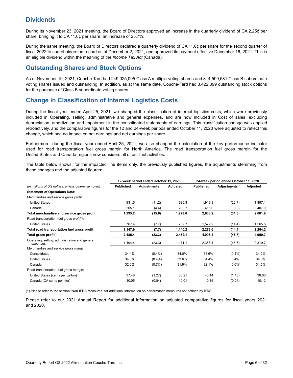# **Dividends**

During its November 23, 2021 meeting, the Board of Directors approved an increase in the quarterly dividend of CA 2.25¢ per share, bringing it to CA 11.0¢ per share, an increase of 25.7%.

During the same meeting, the Board of Directors declared a quarterly dividend of CA 11.0¢ per share for the second quarter of fiscal 2022 to shareholders on record as at December 2, 2021, and approved its payment effective December 16, 2021. This is an eligible dividend within the meaning of the *Income Tax Act* (Canada).

## **Outstanding Shares and Stock Options**

As at November 19, 2021, Couche-Tard had 249,025,095 Class A multiple-voting shares and 814,599,581 Class B subordinate voting shares issued and outstanding. In addition, as at the same date, Couche-Tard had 3,422,399 outstanding stock options for the purchase of Class B subordinate voting shares.

# **Change in Classification of Internal Logistics Costs**

During the fiscal year ended April 25, 2021, we changed the classification of internal logistics costs, which were previously included in Operating, selling, administrative and general expenses, and are now included in Cost of sales, excluding depreciation, amortization and impairment in the consolidated statements of earnings. This classification change was applied retroactively, and the comparative figures for the 12 and 24-week periods ended October 11, 2020 were adjusted to reflect this change, which had no impact on net earnings and net earnings per share.

Furthermore, during the fiscal year ended April 25, 2021, we also changed the calculation of the key performance indicator used for road transportation fuel gross margin for North America. The road transportation fuel gross margin for the United States and Canada regions now considers all of our fuel activities.

The table below shows, for the impacted line items only, the previously published figures, the adjustments stemming from these changes and the adjusted figures:

|                                                            |                  | 12-week period ended October 11, 2020 |          |                  | 24-week period ended October 11, 2020 |          |
|------------------------------------------------------------|------------------|---------------------------------------|----------|------------------|---------------------------------------|----------|
| (in millions of US dollars, unless otherwise noted)        | <b>Published</b> | <b>Adjustments</b>                    | Adjusted | <b>Published</b> | <b>Adjustments</b>                    | Adjusted |
| <b>Statement of Operations Data:</b>                       |                  |                                       |          |                  |                                       |          |
| Merchandise and service gross profit <sup>(1)</sup> :      |                  |                                       |          |                  |                                       |          |
| <b>United States</b>                                       | 931.5            | (11.2)                                | 920.3    | 1,919.8          | (22.7)                                | 1,897.1  |
| Canada                                                     | 205.1            | (4.4)                                 | 200.7    | 415.6            | (8.6)                                 | 407.0    |
| Total merchandise and service gross profit                 | 1,295.2          | (15.6)                                | 1,279.6  | 2,633.2          | (31.3)                                | 2,601.9  |
| Road transportation fuel gross profit <sup>(1)</sup> :     |                  |                                       |          |                  |                                       |          |
| <b>United States</b>                                       | 767.4            | (7.7)                                 | 759.7    | 1,579.9          | (14.4)                                | 1,565.5  |
| Total road transportation fuel gross profit                | 1,147.9          | (7.7)                                 | 1,140.2  | 2,278.6          | (14.4)                                | 2,264.2  |
| Total gross profit <sup>(1)</sup>                          | 2,485.4          | (23.3)                                | 2,462.1  | 4,996.4          | (45.7)                                | 4,950.7  |
| Operating, selling, administrative and general<br>expenses | 1,194.4          | (23.3)                                | 1,171.1  | 2,365.4          | (45.7)                                | 2,319.7  |
| Merchandise and service gross margin:                      |                  |                                       |          |                  |                                       |          |
| Consolidated                                               | 34.4%            | $(0.4\%)$                             | 34.0%    | 34.6%            | $(0.4\%)$                             | 34.2%    |
| <b>United States</b>                                       | 34.0%            | $(0.4\%)$                             | 33.6%    | 34.4%            | $(0.4\%)$                             | 34.0%    |
| Canada                                                     | 32.6%            | $(0.7\%)$                             | 31.9%    | 32.1%            | $(0.6\%)$                             | 31.5%    |
| Road transportation fuel gross margin:                     |                  |                                       |          |                  |                                       |          |
| United States (cents per gallon)                           | 37.48            | (1.27)                                | 36.21    | 40.14            | (1.48)                                | 38.66    |
| Canada (CA cents per liter)                                | 10.05            | (0.04)                                | 10.01    | 10.16            | (0.04)                                | 10.12    |

(1) Please refer to the section "Non-IFRS Measures" for additional information on performance measures not defined by IFRS.

Please refer to our 2021 Annual Report for additional information on adjusted comparative figures for fiscal years 2021 and 2020.

 $\mathcal{L}_\mathcal{L} = \mathcal{L}_\mathcal{L} = \mathcal{L}_\mathcal{L} = \mathcal{L}_\mathcal{L} = \mathcal{L}_\mathcal{L} = \mathcal{L}_\mathcal{L} = \mathcal{L}_\mathcal{L} = \mathcal{L}_\mathcal{L} = \mathcal{L}_\mathcal{L} = \mathcal{L}_\mathcal{L} = \mathcal{L}_\mathcal{L} = \mathcal{L}_\mathcal{L} = \mathcal{L}_\mathcal{L} = \mathcal{L}_\mathcal{L} = \mathcal{L}_\mathcal{L} = \mathcal{L}_\mathcal{L} = \mathcal{L}_\mathcal{L}$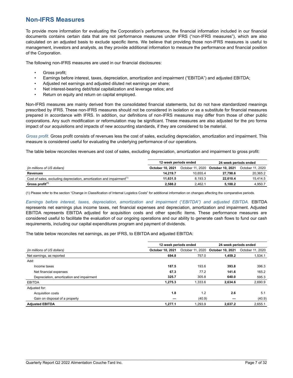## **Non-IFRS Measures**

To provide more information for evaluating the Corporation's performance, the financial information included in our financial documents contains certain data that are not performance measures under IFRS ("non-IFRS measures"), which are also calculated on an adjusted basis to exclude specific items. We believe that providing those non-IFRS measures is useful to management, investors and analysts, as they provide additional information to measure the performance and financial position of the Corporation.

The following non-IFRS measures are used in our financial disclosures:

- Gross profit;
- Earnings before interest, taxes, depreciation, amortization and impairment ("EBITDA") and adjusted EBITDA;
- Adjusted net earnings and adjusted diluted net earnings per share;
- Net interest-bearing debt/total capitalization and leverage ratios; and
- Return on equity and return on capital employed.

Non-IFRS measures are mainly derived from the consolidated financial statements, but do not have standardized meanings prescribed by IFRS. These non-IFRS measures should not be considered in isolation or as a substitute for financial measures prepared in accordance with IFRS. In addition, our definitions of non-IFRS measures may differ from those of other public corporations. Any such modification or reformulation may be significant. These measures are also adjusted for the pro forma impact of our acquisitions and impacts of new accounting standards, if they are considered to be material.

*Gross profit.* Gross profit consists of revenues less the cost of sales, excluding depreciation, amortization and impairment. This measure is considered useful for evaluating the underlying performance of our operations.

The table below reconciles revenues and cost of sales, excluding depreciation, amortization and impairment to gross profit:

|                                                                                   | 12-week periods ended   |                  | 24-week periods ended |                  |  |
|-----------------------------------------------------------------------------------|-------------------------|------------------|-----------------------|------------------|--|
| (in millions of US dollars)                                                       | <b>October 10, 2021</b> | October 11, 2020 | October 10, 2021      | October 11, 2020 |  |
| Revenues                                                                          | 14.219.7                | 10.655.4         | 27.798.6              | 20,365.2         |  |
| Cost of sales, excluding depreciation, amortization and impairment <sup>(1)</sup> | 11.631.5                | 8.193.3          | 22.610.4              | 15.414.5         |  |
| Gross profit <sup>(1)</sup>                                                       | 2.588.2                 | 2.462.1          | 5.188.2               | 4.950.7          |  |

(1) Please refer to the section "Change in Classification of Internal Logistics Costs" for additional information on changes affecting the comparative periods.

*Earnings before interest, taxes, depreciation, amortization and impairment* ("*EBITDA") and adjusted EBITDA.* EBITDA represents net earnings plus income taxes, net financial expenses and depreciation, amortization and impairment. Adjusted EBITDA represents EBITDA adjusted for acquisition costs and other specific items. These performance measures are considered useful to facilitate the evaluation of our ongoing operations and our ability to generate cash flows to fund our cash requirements, including our capital expenditures program and payment of dividends.

The table below reconciles net earnings, as per IFRS, to EBITDA and adjusted EBITDA:

|                                           | 12-week periods ended   |                  | 24-week periods ended |                  |
|-------------------------------------------|-------------------------|------------------|-----------------------|------------------|
| (in millions of US dollars)               | <b>October 10, 2021</b> | October 11, 2020 | October 10, 2021      | October 11, 2020 |
| Net earnings, as reported                 | 694.8                   | 757.0            | 1.459.2               | 1,534.1          |
| Add:                                      |                         |                  |                       |                  |
| Income taxes                              | 187.5                   | 193.6            | 393.8                 | 396.3            |
| Net financial expenses                    | 67.3                    | 77.2             | 141.6                 | 165.2            |
| Depreciation, amortization and impairment | 325.7                   | 305.8            | 640.0                 | 595.3            |
| <b>EBITDA</b>                             | 1.275.3                 | 1.333.6          | 2.634.6               | 2,690.9          |
| Adjusted for:                             |                         |                  |                       |                  |
| <b>Acquisition costs</b>                  | 1.8                     | 1.2              | 2.6                   | 5.1              |
| Gain on disposal of a property            |                         | (40.9)           |                       | (40.9)           |
| <b>Adjusted EBITDA</b>                    | 1,277.1                 | 1,293.9          | 2.637.2               | 2,655.1          |

 $\mathcal{L}_\mathcal{L} = \mathcal{L}_\mathcal{L} = \mathcal{L}_\mathcal{L} = \mathcal{L}_\mathcal{L} = \mathcal{L}_\mathcal{L} = \mathcal{L}_\mathcal{L} = \mathcal{L}_\mathcal{L} = \mathcal{L}_\mathcal{L} = \mathcal{L}_\mathcal{L} = \mathcal{L}_\mathcal{L} = \mathcal{L}_\mathcal{L} = \mathcal{L}_\mathcal{L} = \mathcal{L}_\mathcal{L} = \mathcal{L}_\mathcal{L} = \mathcal{L}_\mathcal{L} = \mathcal{L}_\mathcal{L} = \mathcal{L}_\mathcal{L}$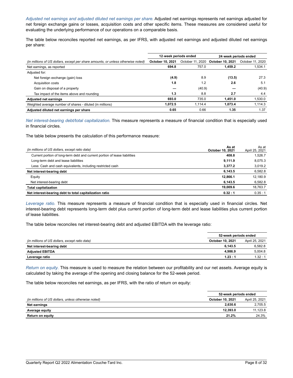*Adjusted net earnings and adjusted diluted net earnings per share.* Adjusted net earnings represents net earnings adjusted for net foreign exchange gains or losses, acquisition costs and other specific items. These measures are considered useful for evaluating the underlying performance of our operations on a comparable basis.

The table below reconciles reported net earnings, as per IFRS, with adjusted net earnings and adjusted diluted net earnings per share:

|                         |         | 24-week periods ended |                  |
|-------------------------|---------|-----------------------|------------------|
| <b>October 10, 2021</b> |         | October 10, 2021      | October 11, 2020 |
| 694.8                   | 757.0   | 1.459.2               | 1,534.1          |
|                         |         |                       |                  |
| (4.9)                   | 8.9     | (13.5)                | 27.3             |
| 1.8                     | 1.2     | 2.6                   | 5.1              |
|                         | (40.9)  |                       | (40.9)           |
| 1.3                     | 8.8     | 2.7                   | 4.4              |
| 693.0                   | 735.0   | 1.451.0               | 1,530.0          |
| 1.072.5                 | 1.114.4 | 1.073.4               | 1.114.3          |
| 0.65                    | 0.66    | 1.35                  | 1.37             |
|                         |         | 12-week periods ended | October 11, 2020 |

*Net interest-bearing debt/total capitalization.* This measure represents a measure of financial condition that is especially used in financial circles.

The table below presents the calculation of this performance measure:

| (in millions of US dollars, except ratio data)                             | As at<br><b>October 10, 2021</b> | As at<br>April 25, 2021 |
|----------------------------------------------------------------------------|----------------------------------|-------------------------|
| Current portion of long-term debt and current portion of lease liabilities | 408.8                            | 1.526.7                 |
| Long-term debt and lease liabilities                                       | 9,111.9                          | 8.075.3                 |
| Less: Cash and cash equivalents, including restricted cash                 | 3.377.2                          | 3.019.2                 |
| Net interest-bearing debt                                                  | 6.143.5                          | 6,582.8                 |
| Equity                                                                     | 12.866.1                         | 12.180.9                |
| Net interest-bearing debt                                                  | 6.143.5                          | 6,582.8                 |
| <b>Total capitalization</b>                                                | 19.009.6                         | 18,763.7                |
| Net interest-bearing debt to total capitalization ratio                    | 0.32:1                           | 0.35:1                  |

*Leverage ratio.* This measure represents a measure of financial condition that is especially used in financial circles. Net interest-bearing debt represents long-term debt plus current portion of long-term debt and lease liabilities plus current portion of lease liabilities.

The table below reconciles net interest-bearing debt and adjusted EBITDA with the leverage ratio:

|                                                | 52-week periods ended   |                |
|------------------------------------------------|-------------------------|----------------|
| (in millions of US dollars, except ratio data) | <b>October 10, 2021</b> | April 25, 2021 |
| Net interest-bearing debt                      | 6.143.5                 | 6.582.8        |
| <b>Adjusted EBITDA</b>                         | 4.986.9                 | 5.004.8        |
| Leverage ratio                                 | 1.23:1                  | 1.32:1         |

*Return on equity.* This measure is used to measure the relation between our profitability and our net assets. Average equity is calculated by taking the average of the opening and closing balance for the 52-week period.

The table below reconciles net earnings, as per IFRS, with the ratio of return on equity:

|                                                     | 52-week periods ended   |                |
|-----------------------------------------------------|-------------------------|----------------|
| (in millions of US dollars, unless otherwise noted) | <b>October 10, 2021</b> | April 25, 2021 |
| Net earnings                                        | 2.630.6                 | 2.705.5        |
| <b>Average equity</b>                               | 12.393.0                | 11.123.8       |
| <b>Return on equity</b>                             | 21.2%                   | 24.3%          |

 $\mathcal{L}_\mathcal{L} = \mathcal{L}_\mathcal{L} = \mathcal{L}_\mathcal{L} = \mathcal{L}_\mathcal{L} = \mathcal{L}_\mathcal{L} = \mathcal{L}_\mathcal{L} = \mathcal{L}_\mathcal{L} = \mathcal{L}_\mathcal{L} = \mathcal{L}_\mathcal{L} = \mathcal{L}_\mathcal{L} = \mathcal{L}_\mathcal{L} = \mathcal{L}_\mathcal{L} = \mathcal{L}_\mathcal{L} = \mathcal{L}_\mathcal{L} = \mathcal{L}_\mathcal{L} = \mathcal{L}_\mathcal{L} = \mathcal{L}_\mathcal{L}$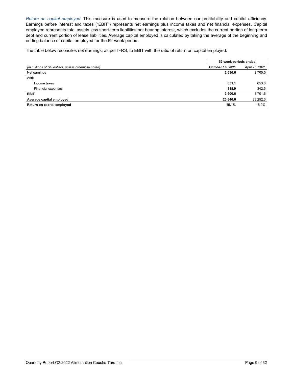*Return on capital employed.* This measure is used to measure the relation between our profitability and capital efficiency. Earnings before interest and taxes ("EBIT") represents net earnings plus income taxes and net financial expenses. Capital employed represents total assets less short-term liabilities not bearing interest, which excludes the current portion of long-term debt and current portion of lease liabilities. Average capital employed is calculated by taking the average of the beginning and ending balance of capital employed for the 52-week period.

The table below reconciles net earnings, as per IFRS, to EBIT with the ratio of return on capital employed:

|                                                     | 52-week periods ended |                |  |
|-----------------------------------------------------|-----------------------|----------------|--|
| (in millions of US dollars, unless otherwise noted) | October 10, 2021      | April 25, 2021 |  |
| Net earnings                                        | 2,630.6               | 2,705.5        |  |
| Add:                                                |                       |                |  |
| Income taxes                                        | 651.1                 | 653.6          |  |
| Financial expenses                                  | 318.9                 | 342.5          |  |
| <b>EBIT</b>                                         | 3,600.6               | 3.701.6        |  |
| Average capital employed                            | 23,840.6              | 23,252.3       |  |
| Return on capital employed                          | 15.1%                 | 15.9%          |  |

\_\_\_\_\_\_\_\_\_\_\_\_\_\_\_\_\_\_\_\_\_\_\_\_\_\_\_\_\_\_\_\_\_\_\_\_\_\_\_\_\_\_\_\_\_\_\_\_\_

 $\mathcal{L}_\mathcal{L} = \mathcal{L}_\mathcal{L} = \mathcal{L}_\mathcal{L} = \mathcal{L}_\mathcal{L} = \mathcal{L}_\mathcal{L} = \mathcal{L}_\mathcal{L} = \mathcal{L}_\mathcal{L} = \mathcal{L}_\mathcal{L} = \mathcal{L}_\mathcal{L} = \mathcal{L}_\mathcal{L} = \mathcal{L}_\mathcal{L} = \mathcal{L}_\mathcal{L} = \mathcal{L}_\mathcal{L} = \mathcal{L}_\mathcal{L} = \mathcal{L}_\mathcal{L} = \mathcal{L}_\mathcal{L} = \mathcal{L}_\mathcal{L}$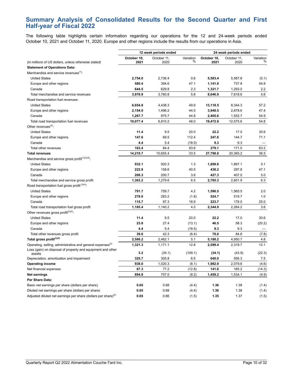## **Summary Analysis of Consolidated Results for the Second Quarter and First Half-year of Fiscal 2022**

The following table highlights certain information regarding our operations for the 12 and 24‑week periods ended October 10, 2021 and October 11, 2020. Europe and other regions include the results from our operations in Asia.

|                                                                            | 12-week periods ended |             | 24-week periods ended |             |             |           |
|----------------------------------------------------------------------------|-----------------------|-------------|-----------------------|-------------|-------------|-----------|
|                                                                            | October 10,           | October 11, | Variation             | October 10, | October 11, | Variation |
| (in millions of US dollars, unless otherwise stated)                       | 2021                  | 2020        | %                     | 2021        | 2020        | %         |
| <b>Statement of Operations Data:</b>                                       |                       |             |                       |             |             |           |
| Merchandise and service revenues <sup>(1)</sup> :                          |                       |             |                       |             |             |           |
| <b>United States</b>                                                       | 2,754.0               | 2,736.4     | 0.6                   | 5,583.4     | 5,587.8     | (0.1)     |
| Europe and other regions                                                   | 580.4                 | 394.6       | 47.1                  | 1,141.8     | 737.8       | 54.8      |
| Canada                                                                     | 644.5                 | 629.8       | 2.3                   | 1,321.7     | 1,293.0     | 2.2       |
| Total merchandise and service revenues                                     | 3,978.9               | 3,760.8     | 5.8                   | 8,046.9     | 7,618.6     | 5.6       |
| Road transportation fuel revenues:                                         |                       |             |                       |             |             |           |
| <b>United States</b>                                                       | 6,654.8               | 4,438.3     | 49.9                  | 13,118.5    | 8,344.3     | 57.2      |
| Europe and other regions                                                   | 2,154.9               | 1,496.2     | 44.0                  | 3,948.5     | 2,678.6     | 47.4      |
| Canada                                                                     | 1,267.7               | 875.7       | 44.8                  | 2,405.6     | 1,552.7     | 54.9      |
| Total road transportation fuel revenues                                    | 10,077.4              | 6,810.2     | 48.0                  | 19,472.6    | 12,575.6    | 54.8      |
| Other revenues <sup>(2)</sup> :                                            |                       |             |                       |             |             |           |
| <b>United States</b>                                                       | 11.4                  | 9.5         | 20.0                  | 22.2        | 17.0        | 30.6      |
| Europe and other regions                                                   | 147.6                 | 69.5        | 112.4                 | 247.6       | 144.7       | 71.1      |
| Canada                                                                     | 4.4                   | 5.4         | (18.5)                | 9.3         | 9.3         |           |
| Total other revenues                                                       | 163.4                 | 84.4        | 93.6                  | 279.1       | 171.0       | 63.2      |
| <b>Total revenues</b>                                                      | 14,219.7              | 10,655.4    | 33.5                  | 27,798.6    | 20,365.2    | 36.5      |
| Merchandise and service gross profit <sup>(1)(3)(4)</sup> :                |                       |             |                       |             |             |           |
| <b>United States</b>                                                       | 932.1                 | 920.3       | 1.3                   | 1,899.8     | 1,897.1     | 0.1       |
| Europe and other regions                                                   | 222.8                 | 158.6       | 40.5                  | 438.2       | 297.8       | 47.1      |
| Canada                                                                     | 208.3                 | 200.7       | 3.8                   | 427.3       | 407.0       | 5.0       |
| Total merchandise and service gross profit                                 | 1,363.2               | 1,279.6     | 6.5                   | 2,765.3     | 2,601.9     | 6.3       |
| Road transportation fuel gross profit <sup>(3)(4)</sup>                    |                       |             |                       |             |             |           |
| <b>United States</b>                                                       | 791.7                 | 759.7       | 4.2                   | 1,596.5     | 1,565.5     | 2.0       |
| Europe and other regions                                                   | 278.0                 | 283.2       | (1.8)                 | 524.7       | 519.7       | 1.0       |
| Canada                                                                     | 115.7                 | 97.3        | 18.9                  | 223.7       | 179.0       | 25.0      |
| Total road transportation fuel gross profit                                | 1,185.4               | 1,140.2     | 4.0                   | 2,344.9     | 2,264.2     | 3.6       |
| Other revenues gross profit $(2)(4)$ .                                     |                       |             |                       |             |             |           |
| <b>United States</b>                                                       | 11.4                  | 9.5         | 20.0                  | 22.2        | 17.0        | 30.6      |
| Europe and other regions                                                   | 23.8                  | 27.4        | (13.1)                | 46.5        | 58.3        | (20.2)    |
| Canada                                                                     | 4.4                   | 5.4         | (18.5)                | 9.3         | 9.3         |           |
| Total other revenues gross profit                                          | 39.6                  | 42.3        | (6.4)                 | 78.0        | 84.6        | (7.8)     |
| Total gross profit <sup>(3)(4)</sup>                                       | 2,588.2               | 2,462.1     | 5.1                   | 5,188.2     | 4,950.7     | 4.8       |
| Operating, selling, administrative and general expenses <sup>(3)</sup>     | 1,321.3               | 1,171.1     | 12.8                  | 2,599.4     | 2,319.7     | 12.1      |
| Loss (gain) on disposal of property and equipment and other                |                       |             |                       |             |             |           |
| assets                                                                     | 3.2                   | (35.1)      | (109.1)               | (34.1)      | (43.9)      | (22.3)    |
| Depreciation, amortization and impairment                                  | 325.7                 | 305.8       | 6.5                   | 640.0       | 595.3       | 7.5       |
| <b>Operating income</b>                                                    | 938.0                 | 1,020.3     | (8.1)                 | 1,982.9     | 2,079.6     | (4.6)     |
| Net financial expenses                                                     | 67.3                  | 77.2        | (12.8)                | 141.6       | 165.2       | (14.3)    |
| <b>Net earnings</b>                                                        | 694.8                 | 757.0       | (8.2)                 | 1,459.2     | 1,534.1     | (4.9)     |
| Per Share Data:                                                            |                       |             |                       |             |             |           |
| Basic net earnings per share (dollars per share)                           | 0.65                  | 0.68        | (4.4)                 | 1.36        | 1.38        | (1.4)     |
| Diluted net earnings per share (dollars per share)                         | 0.65                  | 0.68        | (4.4)                 | 1.36        | 1.38        | (1.4)     |
| Adjusted diluted net earnings per share (dollars per share) <sup>(4)</sup> | 0.65                  | 0.66        | (1.5)                 | 1.35        | 1.37        | (1.5)     |

\_\_\_\_\_\_\_\_\_\_\_\_\_\_\_\_\_\_\_\_\_\_\_\_\_\_\_\_\_\_\_\_\_\_\_\_\_\_\_\_\_\_\_\_\_\_\_\_\_

 $\mathcal{L}_\mathcal{L} = \mathcal{L}_\mathcal{L} = \mathcal{L}_\mathcal{L} = \mathcal{L}_\mathcal{L} = \mathcal{L}_\mathcal{L} = \mathcal{L}_\mathcal{L} = \mathcal{L}_\mathcal{L} = \mathcal{L}_\mathcal{L} = \mathcal{L}_\mathcal{L} = \mathcal{L}_\mathcal{L} = \mathcal{L}_\mathcal{L} = \mathcal{L}_\mathcal{L} = \mathcal{L}_\mathcal{L} = \mathcal{L}_\mathcal{L} = \mathcal{L}_\mathcal{L} = \mathcal{L}_\mathcal{L} = \mathcal{L}_\mathcal{L}$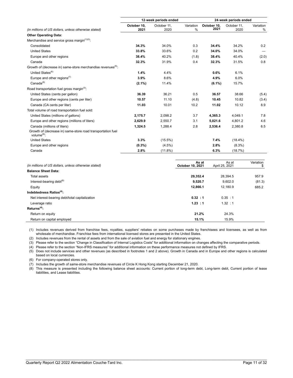|                                                                               | 12-week periods ended |                     |                            | 24-week periods ended |                     |                          |  |  |
|-------------------------------------------------------------------------------|-----------------------|---------------------|----------------------------|-----------------------|---------------------|--------------------------|--|--|
| (in millions of US dollars, unless otherwise stated)                          | October 10.<br>2021   | October 11.<br>2020 | Variation<br>$\frac{0}{0}$ | October 10.<br>2021   | October 11.<br>2020 | Variation<br>$\%$        |  |  |
| <b>Other Operating Data:</b>                                                  |                       |                     |                            |                       |                     |                          |  |  |
| Merchandise and service gross margin <sup>(1)(3)</sup> :                      |                       |                     |                            |                       |                     |                          |  |  |
| Consolidated                                                                  | 34.3%                 | 34.0%               | 0.3                        | 34.4%                 | 34.2%               | 0.2                      |  |  |
| <b>United States</b>                                                          | 33.8%                 | 33.6%               | 0.2                        | 34.0%                 | 34.0%               | $\overline{\phantom{0}}$ |  |  |
| Europe and other regions                                                      | 38.4%                 | 40.2%               | (1.8)                      | 38.4%                 | 40.4%               | (2.0)                    |  |  |
| Canada                                                                        | 32.3%                 | 31.9%               | 0.4                        | 32.3%                 | 31.5%               | 0.8                      |  |  |
| Growth of (decrease in) same-store merchandise revenues <sup>(5)</sup> :      |                       |                     |                            |                       |                     |                          |  |  |
| United States <sup>(6)</sup>                                                  | 1.4%                  | 4.4%                |                            | 0.6%                  | 6.1%                |                          |  |  |
| Europe and other regions $(7)$                                                | 3.9%                  | 8.6%                |                            | 4.9%                  | 6.0%                |                          |  |  |
| $Canada^{(6)}$                                                                | $(2.1\%)$             | 11.4%               |                            | $(6.1\%)$             | 15.7%               |                          |  |  |
| Road transportation fuel gross margin <sup>(3)</sup> :                        |                       |                     |                            |                       |                     |                          |  |  |
| United States (cents per gallon)                                              | 36.39                 | 36.21               | 0.5                        | 36.57                 | 38.66               | (5.4)                    |  |  |
| Europe and other regions (cents per liter)                                    | 10.57                 | 11.10               | (4.8)                      | 10.45                 | 10.82               | (3.4)                    |  |  |
| Canada (CA cents per liter)                                                   | 11.03                 | 10.01               | 10.2                       | 11.02                 | 10.12               | 8.9                      |  |  |
| Total volume of road transportation fuel sold:                                |                       |                     |                            |                       |                     |                          |  |  |
| United States (millions of gallons)                                           | 2.175.7               | 2,098.2             | 3.7                        | 4.365.3               | 4.049.1             | 7.8                      |  |  |
| Europe and other regions (millions of liters)                                 | 2,629.9               | 2,550.7             | 3.1                        | 5,021.6               | 4,801.2             | 4.6                      |  |  |
| Canada (millions of liters)                                                   | 1,324.5               | 1,288.4             | 2.8                        | 2,536.4               | 2,380.8             | 6.5                      |  |  |
| Growth of (decrease in) same-store road transportation fuel<br>volume $(6)$ : |                       |                     |                            |                       |                     |                          |  |  |
| <b>United States</b>                                                          | 3.3%                  | $(15.5\%)$          |                            | 7.4%                  | $(18.4\%)$          |                          |  |  |
| Europe and other regions                                                      | (0.3%                 | $(4.5\%)$           |                            | 2.8%                  | $(8.3\%)$           |                          |  |  |
| Canada                                                                        | 2.8%                  | (11.8%)             |                            | 6.3%                  | (18.7%)             |                          |  |  |

| (in millions of US dollars, unless otherwise stated) | As at<br>October 10, 2021 | As at<br>April 25, 2021 | Variation |
|------------------------------------------------------|---------------------------|-------------------------|-----------|
| <b>Balance Sheet Data:</b>                           |                           |                         |           |
| <b>Total assets</b>                                  | 29.352.4                  | 28.394.5                | 957.9     |
| Interest-bearing debt $(8)$                          | 9,520.7                   | 9.602.0                 | (81.3)    |
| Equity                                               | 12,866.1                  | 12.180.9                | 685.2     |
| Indebtedness Ratios <sup>(4)</sup> :                 |                           |                         |           |
| Net interest-bearing debt/total capitalization       | 0.32 : 1                  | 0.35 : 1                |           |
| Leverage ratio                                       | 1.23 : 1                  | 1.32 : 1                |           |
| $Returns(4)$ :                                       |                           |                         |           |
| Return on equity                                     | 21.2%                     | 24.3%                   |           |
| Return on capital employed                           | 15.1%                     | 15.9%                   |           |

(1) Includes revenues derived from franchise fees, royalties, suppliers' rebates on some purchases made by franchisees and licensees, as well as from wholesale of merchandise. Franchise fees from international licensed stores are presented in the United States.

(2) Includes revenues from the rental of assets and from the sale of aviation fuel and energy for stationary engines.

(3) Please refer to the section "Change in Classification of Internal Logistics Costs" for additional information on changes affecting the comparative periods.

(4) Please refer to the section "Non-IFRS measures" for additional information on these performance measures not defined by IFRS.

(5) Does not include services and other revenues (as described in footnotes 1 and 2 above). Growth in Canada and in Europe and other regions is calculated based on local currencies.

(6) For company-operated stores only.

(7) Includes the growth of same-store merchandise revenues of Circle K Hong Kong starting December 21, 2020.

(8) This measure is presented including the following balance sheet accounts: Current portion of long-term debt, Long-term debt, Current portion of lease liabilities, and Lease liabilities.

 $\mathcal{L}_\mathcal{L} = \mathcal{L}_\mathcal{L} = \mathcal{L}_\mathcal{L} = \mathcal{L}_\mathcal{L} = \mathcal{L}_\mathcal{L} = \mathcal{L}_\mathcal{L} = \mathcal{L}_\mathcal{L} = \mathcal{L}_\mathcal{L} = \mathcal{L}_\mathcal{L} = \mathcal{L}_\mathcal{L} = \mathcal{L}_\mathcal{L} = \mathcal{L}_\mathcal{L} = \mathcal{L}_\mathcal{L} = \mathcal{L}_\mathcal{L} = \mathcal{L}_\mathcal{L} = \mathcal{L}_\mathcal{L} = \mathcal{L}_\mathcal{L}$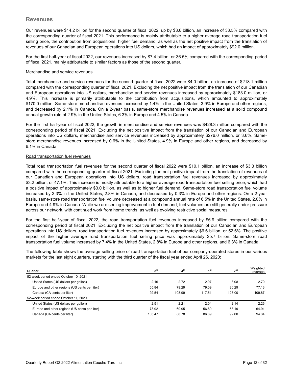Our revenues were \$14.2 billion for the second quarter of fiscal 2022, up by \$3.6 billion, an increase of 33.5% compared with the corresponding quarter of fiscal 2021. This performance is mainly attributable to a higher average road transportation fuel selling price, the contribution from acquisitions, higher fuel demand, as well as the net positive impact from the translation of revenues of our Canadian and European operations into US dollars, which had an impact of approximately \$92.0 million.

For the first half-year of fiscal 2022, our revenues increased by \$7.4 billion, or 36.5% compared with the corresponding period of fiscal 2021, mainly attributable to similar factors as those of the second quarter.

#### Merchandise and service revenues

Total merchandise and service revenues for the second quarter of fiscal 2022 were \$4.0 billion, an increase of \$218.1 million compared with the corresponding quarter of fiscal 2021. Excluding the net positive impact from the translation of our Canadian and European operations into US dollars, merchandise and service revenues increased by approximately \$183.0 million, or 4.9%. This increase is primarily attributable to the contribution from acquisitions, which amounted to approximately \$170.0 million. Same-store merchandise revenues increased by 1.4% in the United States, 3.9% in Europe and other regions, and decreased by 2.1% in Canada. On a 2-year basis, same-store merchandise revenues increased at a solid compound annual growth rate of 2.9% in the United States, 6.3% in Europe and 4.5% in Canada.

For the first half-year of fiscal 2022, the growth in merchandise and service revenues was \$428.3 million compared with the corresponding period of fiscal 2021. Excluding the net positive impact from the translation of our Canadian and European operations into US dollars, merchandise and service revenues increased by approximately \$276.0 million, or 3.6%. Samestore merchandise revenues increased by 0.6% in the United States, 4.9% in Europe and other regions, and decreased by 6.1% in Canada.

#### Road transportation fuel revenues

Total road transportation fuel revenues for the second quarter of fiscal 2022 were \$10.1 billion, an increase of \$3.3 billion compared with the corresponding quarter of fiscal 2021. Excluding the net positive impact from the translation of revenues of our Canadian and European operations into US dollars, road transportation fuel revenues increased by approximately \$3.2 billion, or 47.1%. This increase is mostly attributable to a higher average road transportation fuel selling price, which had a positive impact of approximately \$3.0 billion, as well as to higher fuel demand. Same-store road transportation fuel volume increased by 3.3% in the United States, 2.8% in Canada, and decreased by 0.3% in Europe and other regions. On a 2-year basis, same-store road transportation fuel volume decreased at a compound annual rate of 6.5% in the United States, 2.0% in Europe and 4.9% in Canada. While we are seeing improvement in fuel demand, fuel volumes are still generally under pressure across our network, with continued work from home trends, as well as evolving restrictive social measures.

For the first half-year of fiscal 2022, the road transportation fuel revenues increased by \$6.9 billion compared with the corresponding period of fiscal 2021. Excluding the net positive impact from the translation of our Canadian and European operations into US dollars, road transportation fuel revenues increased by approximately \$6.6 billion, or 52.6%. The positive impact of the higher average road transportation fuel selling price was approximately \$5.7 billion. Same-store road transportation fuel volume increased by 7.4% in the United States, 2.8% in Europe and other regions, and 6.3% in Canada.

The following table shows the average selling price of road transportation fuel of our company-operated stores in our various markets for the last eight quarters, starting with the third quarter of the fiscal year ended April 26, 2020:

| Quarter                                       | 3 <sup>rd</sup> | 4 <sup>th</sup> | 1st    | 2 <sub>nd</sub> | Weighted<br>average |
|-----------------------------------------------|-----------------|-----------------|--------|-----------------|---------------------|
| 52-week period ended October 10, 2021         |                 |                 |        |                 |                     |
| United States (US dollars per gallon)         | 2.16            | 2.72            | 2.97   | 3.08            | 2.70                |
| Europe and other regions (US cents per liter) | 65.84           | 79.29           | 79.09  | 86.29           | 77.13               |
| Canada (CA cents per liter)                   | 92.54           | 108.99          | 117.51 | 123.00          | 109.87              |
| 52-week period ended October 11, 2020         |                 |                 |        |                 |                     |
| United States (US dollars per gallon)         | 2.51            | 2.21            | 2.04   | 2.14            | 2.26                |
| Europe and other regions (US cents per liter) | 73.92           | 60.95           | 56.89  | 63.19           | 64.91               |
| Canada (CA cents per liter)                   | 103.47          | 88.78           | 86.89  | 92.00           | 94.34               |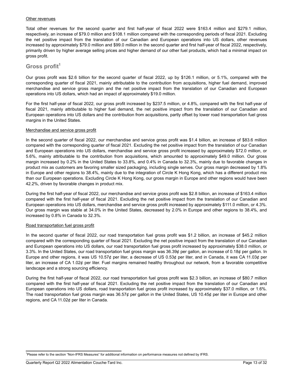#### Other revenues

Total other revenues for the second quarter and first half-year of fiscal 2022 were \$163.4 million and \$279.1 million, respectively, an increase of \$79.0 million and \$108.1 million compared with the corresponding periods of fiscal 2021. Excluding the net positive impact from the translation of our Canadian and European operations into US dollars, other revenues increased by approximately \$79.0 million and \$99.0 million in the second quarter and first half-year of fiscal 2022, respectively, primarily driven by higher average selling prices and higher demand of our other fuel products, which had a minimal impact on gross profit.

## **Gross profit<sup>1</sup>**

Our gross profit was \$2.6 billion for the second quarter of fiscal 2022, up by \$126.1 million, or 5.1%, compared with the corresponding quarter of fiscal 2021, mainly attributable to the contribution from acquisitions, higher fuel demand, improved merchandise and service gross margin and the net positive impact from the translation of our Canadian and European operations into US dollars, which had an impact of approximately \$19.0 million.

For the first half-year of fiscal 2022, our gross profit increased by \$237.5 million, or 4.8%, compared with the first half-year of fiscal 2021, mainly attributable to higher fuel demand, the net positive impact from the translation of our Canadian and European operations into US dollars and the contribution from acquisitions, partly offset by lower road transportation fuel gross margins in the United States.

#### Merchandise and service gross profit

In the second quarter of fiscal 2022, our merchandise and service gross profit was \$1.4 billion, an increase of \$83.6 million compared with the corresponding quarter of fiscal 2021. Excluding the net positive impact from the translation of our Canadian and European operations into US dollars, merchandise and service gross profit increased by approximately \$72.0 million, or 5.6%, mainly attributable to the contribution from acquisitions, which amounted to approximately \$49.0 million. Our gross margin increased by 0.2% in the United States to 33.8%, and 0.4% in Canada to 32.3%, mainly due to favorable changes in product mix as customers are favoring smaller sized packaging, including single serves. Our gross margin decreased by 1.8% in Europe and other regions to 38.4%, mainly due to the integration of Circle K Hong Kong, which has a different product mix than our European operations. Excluding Circle K Hong Kong, our gross margin in Europe and other regions would have been 42.2%, driven by favorable changes in product mix.

During the first half-year of fiscal 2022, our merchandise and service gross profit was \$2.8 billion, an increase of \$163.4 million compared with the first half-year of fiscal 2021. Excluding the net positive impact from the translation of our Canadian and European operations into US dollars, merchandise and service gross profit increased by approximately \$111.0 million, or 4.3%. Our gross margin was stable at 34.0% in the United States, decreased by 2.0% in Europe and other regions to 38.4%, and increased by 0.8% in Canada to 32.3%.

#### Road transportation fuel gross profit

In the second quarter of fiscal 2022, our road transportation fuel gross profit was \$1.2 billion, an increase of \$45.2 million compared with the corresponding quarter of fiscal 2021. Excluding the net positive impact from the translation of our Canadian and European operations into US dollars, our road transportation fuel gross profit increased by approximately \$38.0 million, or 3.3%. In the United States, our road transportation fuel gross margin was 36.39¢ per gallon, an increase of 0.18¢ per gallon. In Europe and other regions, it was US 10.57¢ per liter, a decrease of US 0.53¢ per liter, and in Canada, it was CA 11.03¢ per liter, an increase of CA 1.02¢ per liter. Fuel margins remained healthy throughout our network, from a favorable competitive landscape and a strong sourcing efficiency.

During the first half-year of fiscal 2022, our road transportation fuel gross profit was \$2.3 billion, an increase of \$80.7 million compared with the first half-year of fiscal 2021. Excluding the net positive impact from the translation of our Canadian and European operations into US dollars, road transportation fuel gross profit increased by approximately \$37.0 million, or 1.6%. The road transportation fuel gross margin was 36.57¢ per gallon in the United States, US 10.45¢ per liter in Europe and other regions, and CA 11.02¢ per liter in Canada.

 $\mathcal{L}_\mathcal{L} = \mathcal{L}_\mathcal{L} = \mathcal{L}_\mathcal{L} = \mathcal{L}_\mathcal{L} = \mathcal{L}_\mathcal{L} = \mathcal{L}_\mathcal{L} = \mathcal{L}_\mathcal{L} = \mathcal{L}_\mathcal{L} = \mathcal{L}_\mathcal{L} = \mathcal{L}_\mathcal{L} = \mathcal{L}_\mathcal{L} = \mathcal{L}_\mathcal{L} = \mathcal{L}_\mathcal{L} = \mathcal{L}_\mathcal{L} = \mathcal{L}_\mathcal{L} = \mathcal{L}_\mathcal{L} = \mathcal{L}_\mathcal{L}$ 

<sup>1</sup>Please refer to the section "Non-IFRS Measures" for additional information on performance measures not defined by IFRS.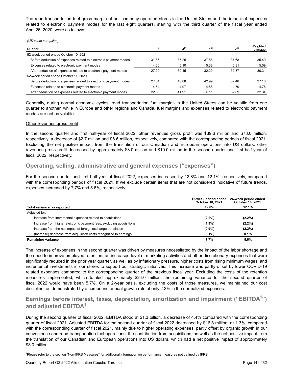The road transportation fuel gross margin of our company-operated stores in the United States and the impact of expenses related to electronic payment modes for the last eight quarters, starting with the third quarter of the fiscal year ended April 26, 2020, were as follows:

*(US cents per gallon)*

| Quarter                                                          | 3 <sup>rd</sup> | 4 <sup>th</sup> | 1 <sub>st</sub> | $\gamma$ nd | Weighted<br>average |
|------------------------------------------------------------------|-----------------|-----------------|-----------------|-------------|---------------------|
| 52-week period ended October 10, 2021                            |                 |                 |                 |             |                     |
| Before deduction of expenses related to electronic payment modes | 31.86           | 35.25           | 37.58           | 37.68       | 35.40               |
| Expenses related to electronic payment modes                     | 4.66            | 5.10            | 5.38            | 5.31        | 5.09                |
| After deduction of expenses related to electronic payment modes  | 27.20           | 30.15           | 32.20           | 32.37       | 30.31               |
| 52-week period ended October 11, 2020                            |                 |                 |                 |             |                     |
| Before deduction of expenses related to electronic payment modes | 27.04           | 46.88           | 42.99           | 37.48       | 37.10               |
| Expenses related to electronic payment modes                     | 4.54            | 4.97            | 4.88            | 4.79        | 4.76                |
| After deduction of expenses related to electronic payment modes  | 22.50           | 41.91           | 38.11           | 32.69       | 32.34               |

Generally, during normal economic cycles, road transportation fuel margins in the United States can be volatile from one quarter to another, while in Europe and other regions and Canada, fuel margins and expenses related to electronic payment modes are not as volatile.

#### Other revenues gross profit

In the second quarter and first half-year of fiscal 2022, other revenues gross profit was \$39.6 million and \$78.0 million, respectively, a decrease of \$2.7 million and \$6.6 million, respectively, compared with the corresponding periods of fiscal 2021. Excluding the net positive impact from the translation of our Canadian and European operations into US dollars, other revenues gross profit decreased by approximately \$3.0 million and \$10.0 million in the second quarter and first half-year of fiscal 2022, respectively.

## **Operating, selling, administrative and general expenses ("expenses")**

For the second quarter and first half-year of fiscal 2022, expenses increased by 12.8% and 12.1%, respectively, compared with the corresponding periods of fiscal 2021. If we exclude certain items that are not considered indicative of future trends, expenses increased by 7.7% and 5.6%, respectively.

|                                                                      | 12-week period ended<br>October 10, 2021 | 24-week period ended<br>October 10, 2021 |
|----------------------------------------------------------------------|------------------------------------------|------------------------------------------|
| Total variance, as reported                                          | 12.8%                                    | 12.1%                                    |
| Adjusted for:                                                        |                                          |                                          |
| Increase from incremental expenses related to acquisitions           | $(2.2\%)$                                | $(2.2\%)$                                |
| Increase from higher electronic payment fees, excluding acquisitions | $(1.9\%)$                                | $(2.2\%)$                                |
| Increase from the net impact of foreign exchange translation         | $(0.9\%)$                                | $(2.2\%)$                                |
| (Increase) decrease from acquisition costs recognized to earnings    | $(0.1\%)$                                | 0.1%                                     |
| <b>Remaining variance</b>                                            | 7.7%                                     | 5.6%                                     |

The increase of expenses in the second quarter was driven by measures necessitated by the impact of the labor shortage and the need to improve employee retention, an increased level of marketing activities and other discretionary expenses that were significantly reduced in the prior year quarter, as well as by inflationary pressure, higher costs from rising minimum wages, and incremental investments in our stores to support our strategic initiatives. This increase was partly offset by lower COVID-19 related expenses compared to the corresponding quarter of the previous fiscal year. Excluding the costs of the retention measures implemented, which totaled approximately \$24.0 million, the remaining variance for the second quarter of fiscal 2022 would have been 5.7%. On a 2-year basis, excluding the costs of those measures, we maintained our cost discipline, as demonstrated by a compound annual growth rate of only 2.2% in the normalized expenses.

## **Earnings before interest, taxes, depreciation, amortization and impairment ("EBITDA<sup>1</sup> ") and adjusted EBITDA<sup>1</sup>**

During the second quarter of fiscal 2022, EBITDA stood at \$1.3 billion, a decrease of 4.4% compared with the corresponding quarter of fiscal 2021. Adjusted EBITDA for the second quarter of fiscal 2022 decreased by \$16.8 million, or 1.3%, compared with the corresponding quarter of fiscal 2021, mainly due to higher operating expenses, partly offset by organic growth in our convenience and road transportation fuel operations, the contribution from acquisitions, as well as the net positive impact from the translation of our Canadian and European operations into US dollars, which had a net positive impact of approximately \$8.0 million.

\_\_\_\_\_\_\_\_\_\_\_\_\_\_\_\_\_\_\_\_\_\_\_\_\_\_\_\_\_\_\_\_\_\_\_\_\_\_\_\_\_\_\_\_\_\_\_\_\_\_\_\_\_\_\_\_\_\_\_\_\_\_\_\_\_\_\_\_\_\_\_\_\_\_

<sup>1</sup>Please refer to the section "Non-IFRS Measures" for additional information on performance measures not defined by IFRS.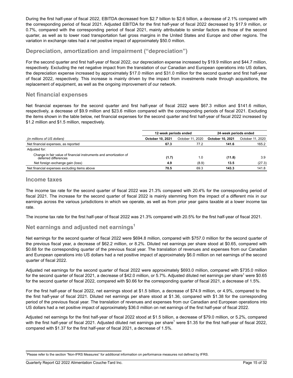During the first half-year of fiscal 2022, EBITDA decreased from \$2.7 billion to \$2.6 billion, a decrease of 2.1% compared with the corresponding period of fiscal 2021. Adjusted EBITDA for the first half-year of fiscal 2022 decreased by \$17.9 million, or 0.7%, compared with the corresponding period of fiscal 2021, mainly attributable to similar factors as those of the second quarter, as well as to lower road transportation fuel gross margins in the United States and Europe and other regions. The variation in exchange rates had a net positive impact of approximately \$50.0 million.

## **Depreciation, amortization and impairment ("depreciation")**

For the second quarter and first half-year of fiscal 2022, our depreciation expense increased by \$19.9 million and \$44.7 million, respectively. Excluding the net negative impact from the translation of our Canadian and European operations into US dollars, the depreciation expense increased by approximately \$17.0 million and \$31.0 million for the second quarter and first half-year of fiscal 2022, respectively. This increase is mainly driven by the impact from investments made through acquisitions, the replacement of equipment, as well as the ongoing improvement of our network.

## **Net financial expenses**

Net financial expenses for the second quarter and first half-year of fiscal 2022 were \$67.3 million and \$141.6 million, respectively, a decrease of \$9.9 million and \$23.6 million compared with the corresponding periods of fiscal 2021. Excluding the items shown in the table below, net financial expenses for the second quarter and first half-year of fiscal 2022 increased by \$1.2 million and \$1.5 million, respectively.

|                                                                                           | 12-week periods ended   |                  | 24-week periods ended |                  |  |
|-------------------------------------------------------------------------------------------|-------------------------|------------------|-----------------------|------------------|--|
| (in millions of US dollars)                                                               | <b>October 10, 2021</b> | October 11, 2020 | October 10, 2021      | October 11, 2020 |  |
| Net financial expenses, as reported                                                       | 67.3                    | 77.2             | 141.6                 | 165.2            |  |
| Adjusted for:                                                                             |                         |                  |                       |                  |  |
| Change in fair value of financial instruments and amortization of<br>deferred differences | (1.7)                   | 1.0              | (11.8)                | 3.9              |  |
| Net foreign exchange gain (loss)                                                          | 4.9                     | (8.9)            | 13.5                  | (27.3)           |  |
| Net financial expenses excluding items above                                              | 70.5                    | 69.3             | 143.3                 | 141.8            |  |

## **Income taxes**

The income tax rate for the second quarter of fiscal 2022 was 21.3% compared with 20.4% for the corresponding period of fiscal 2021. The increase for the second quarter of fiscal 2022 is mainly stemming from the impact of a different mix in our earnings across the various jurisdictions in which we operate, as well as from prior year gains taxable at a lower income tax rate.

The income tax rate for the first half-year of fiscal 2022 was 21.3% compared with 20.5% for the first half-year of fiscal 2021.

## **Net earnings and adjusted net earnings<sup>1</sup>**

Net earnings for the second quarter of fiscal 2022 were \$694.8 million, compared with \$757.0 million for the second quarter of the previous fiscal year, a decrease of \$62.2 million, or 8.2%. Diluted net earnings per share stood at \$0.65, compared with \$0.68 for the corresponding quarter of the previous fiscal year. The translation of revenues and expenses from our Canadian and European operations into US dollars had a net positive impact of approximately \$6.0 million on net earnings of the second quarter of fiscal 2022.

Adjusted net earnings for the second quarter of fiscal 2022 were approximately \$693.0 million, compared with \$735.0 million for the second quarter of fiscal 2021, a decrease of \$42.0 million, or 5.7%. Adjusted diluted net earnings per share<sup>1</sup> were \$0.65 for the second quarter of fiscal 2022, compared with \$0.66 for the corresponding quarter of fiscal 2021, a decrease of 1.5%.

For the first half-year of fiscal 2022, net earnings stood at \$1.5 billion, a decrease of \$74.9 million, or 4.9%, compared to the the first half-year of fiscal 2021. Diluted net earnings per share stood at \$1.36, compared with \$1.38 for the corresponding period of the previous fiscal year. The translation of revenues and expenses from our Canadian and European operations into US dollars had a net positive impact of approximately \$36.0 million on net earnings of the first half-year of fiscal 2022.

Adjusted net earnings for the first half-year of fiscal 2022 stood at \$1.5 billion, a decrease of \$79.0 million, or 5.2%, compared with the first half-year of fiscal 2021. Adjusted diluted net earnings per share<sup>1</sup> were \$1.35 for the first half-year of fiscal 2022, compared with \$1.37 for the first half-year of fiscal 2021, a decrease of 1.5%.

<sup>1</sup>Please refer to the section "Non-IFRS Measures" for additional information on performance measures not defined by IFRS. \_\_\_\_\_\_\_\_\_\_\_\_\_\_\_\_\_\_\_\_\_\_\_\_\_\_\_\_\_\_\_\_\_\_\_\_\_\_\_\_\_\_\_\_\_\_\_\_\_ \_\_\_\_\_\_\_\_\_\_\_\_\_\_\_\_\_\_\_\_\_\_\_\_\_\_\_\_\_\_\_\_\_\_\_\_\_\_\_\_\_\_\_\_\_\_\_\_\_\_\_\_\_\_\_\_\_\_\_\_\_\_\_\_\_\_\_\_\_\_\_\_\_\_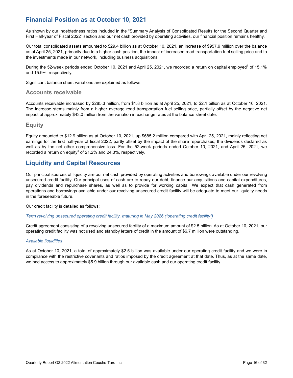# **Financial Position as at October 10, 2021**

As shown by our indebtedness ratios included in the "Summary Analysis of Consolidated Results for the Second Quarter and First Half-year of Fiscal 2022" section and our net cash provided by operating activities, our financial position remains healthy.

Our total consolidated assets amounted to \$29.4 billion as at October 10, 2021, an increase of \$957.9 million over the balance as at April 25, 2021, primarily due to a higher cash position, the impact of increased road transportation fuel selling price and to the investments made in our network, including business acquisitions.

During the 52-week periods ended October 10, 2021 and April 25, 2021, we recorded a return on capital employed<sup>1</sup> of 15.1% and 15.9%, respectively.

Significant balance sheet variations are explained as follows:

## **Accounts receivable**

Accounts receivable increased by \$285.3 million, from \$1.8 billion as at April 25, 2021, to \$2.1 billion as at October 10, 2021. The increase stems mainly from a higher average road transportation fuel selling price, partially offset by the negative net impact of approximately \$43.0 million from the variation in exchange rates at the balance sheet date.

## **Equity**

Equity amounted to \$12.9 billion as at October 10, 2021, up \$685.2 million compared with April 25, 2021, mainly reflecting net earnings for the first half-year of fiscal 2022, partly offset by the impact of the share repurchases, the dividends declared as well as by the net other comprehensive loss. For the 52-week periods ended October 10, 2021, and April 25, 2021, we recorded a return on equity<sup>1</sup> of 21.2% and 24.3%, respectively.

## **Liquidity and Capital Resources**

Our principal sources of liquidity are our net cash provided by operating activities and borrowings available under our revolving unsecured credit facility. Our principal uses of cash are to repay our debt, finance our acquisitions and capital expenditures, pay dividends and repurchase shares, as well as to provide for working capital. We expect that cash generated from operations and borrowings available under our revolving unsecured credit facility will be adequate to meet our liquidity needs in the foreseeable future.

Our credit facility is detailed as follows:

#### *Term revolving unsecured operating credit facility, maturing in May 2026 ("operating credit facility")*

Credit agreement consisting of a revolving unsecured facility of a maximum amount of \$2.5 billion. As at October 10, 2021, our operating credit facility was not used and standby letters of credit in the amount of \$6.7 million were outstanding.

#### *Available liquidities*

As at October 10, 2021, a total of approximately \$2.5 billion was available under our operating credit facility and we were in compliance with the restrictive covenants and ratios imposed by the credit agreement at that date. Thus, as at the same date, we had access to approximately \$5.9 billion through our available cash and our operating credit facility.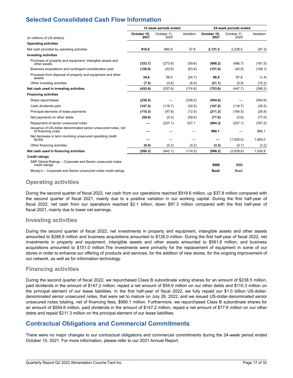# **Selected Consolidated Cash Flow Information**

|                                                                                     | 12-week periods ended |                     | 24-week periods ended |                     |                     |           |
|-------------------------------------------------------------------------------------|-----------------------|---------------------|-----------------------|---------------------|---------------------|-----------|
| (in millions of US dollars)                                                         | October 10.<br>2021   | October 11.<br>2020 | Variation             | October 10.<br>2021 | October 11.<br>2020 | Variation |
| <b>Operating activities</b>                                                         |                       |                     |                       |                     |                     |           |
| Net cash provided by operating activities                                           | 918.6                 | 880.8               | 37.8                  | 2,131.2             | 2,228.5             | (97.3)    |
| <b>Investing activities</b>                                                         |                       |                     |                       |                     |                     |           |
| Purchase of property and equipment, intangible assets and<br>other assets           | (333.7)               | (273.9)             | (59.8)                | (668.2)             | (486.7)             | (181.5)   |
| Business acquisitions and contingent consideration paid                             | (126.0)               | (42.6)              | (83.4)                | (151.0)             | (42.9)              | (108.1)   |
| Proceeds from disposal of property and equipment and other<br>assets                | 34.8                  | 59.5                | (24.7)                | 86.4                | 87.8                | (1.4)     |
| Other investing activities                                                          | (7.5)                 | (0.6)               | (6.9)                 | (21.1)              | (5.9)               | (15.2)    |
| Net cash used in investing activities                                               | (432.4)               | (257.6)             | (174.8)               | (753.9)             | (447.7)             | (306.2)   |
| <b>Financing activities</b>                                                         |                       |                     |                       |                     |                     |           |
| Share repurchases                                                                   | (238.5)               |                     | (238.5)               | (554.6)             |                     | (554.6)   |
| Cash dividends paid                                                                 | (147.2)               | (116.7)             | (30.5)                | (147.2)             | (116.7)             | (30.5)    |
| Principal elements of lease payments                                                | (110.3)               | (97.8)              | (12.5)                | (211.3)             | (184.5)             | (26.8)    |
| Net payments on other debts                                                         | (59.9)                | (0.3)               | (59.6)                | (77.6)              | (0.6)               | (77.0)    |
| Repayment of senior unsecured notes                                                 |                       | (227.1)             | 227.1                 | (994.3)             | (227.1)             | (767.2)   |
| Issuance of US-dollar-denominated senior unsecured notes, net<br>of financing costs |                       |                     |                       | 990.1               |                     | 990.1     |
| Net decrease in term revolving unsecured operating credit<br>facility               |                       |                     |                       |                     | (1,500.0)           | 1,500.0   |
| Other financing activities                                                          | (0.4)                 | (0.2)               | (0.2)                 | (3.3)               | (0.1)               | (3.2)     |
| Net cash used in financing activities                                               | (556.3)               | (442.1)             | (114.2)               | (998.2)             | (2,029.0)           | 1,030.8   |
| <b>Credit ratings</b>                                                               |                       |                     |                       |                     |                     |           |
| S&P Global Ratings – Corporate and Senior unsecured notes<br>credit ratings         |                       |                     |                       | <b>BBB</b>          | <b>BBB</b>          |           |
| Moody's - Corporate and Senior unsecured notes credit ratings                       |                       |                     |                       | Baa2                | Baa2                |           |

## **Operating activities**

During the second quarter of fiscal 2022, net cash from our operations reached \$918.6 million, up \$37.8 million compared with the second quarter of fiscal 2021, mainly due to a positive variation in our working capital. During the first half-year of fiscal 2022, net cash from our operations reached \$2.1 billion, down \$97.3 million compared with the first half-year of fiscal 2021, mainly due to lower net earnings.

## **Investing activities**

During the second quarter of fiscal 2022, net investments in property and equipment, intangible assets and other assets amounted to \$298.9 million and business acquisitions amounted to \$126.0 million. During the first half-year of fiscal 2022, net investments in property and equipment, intangible assets and other assets amounted to \$581.8 million, and business acquisitions amounted to \$151.0 million.The investments were primarily for the replacement of equipment in some of our stores in order to enhance our offering of products and services, for the addition of new stores, for the ongoing improvement of our network, as well as for information technology.

## **Financing activities**

During the second quarter of fiscal 2022, we repurchased Class B subordinate voting shares for an amount of \$238.5 million, paid dividends in the amount of \$147.2 million, repaid a net amount of \$59.9 million on our other debts and \$110.3 million on the principal element of our lease liabilities. In the first half-year of fiscal 2022, we fully repaid our \$1.0 billion US-dollardenominated senior unsecured notes, that were set to mature on July 26, 2022, and we issued US-dollar-denominated senior unsecured notes totaling, net of financing fees, \$990.1 million. Furthermore, we repurchased Class B subordinate shares for an amount of \$554.6 million, paid dividends in the amount of \$147.2 million, repaid a net amount of \$77.6 million on our other debts and repaid \$211.3 million on the principal element of our lease liabilities.

# **Contractual Obligations and Commercial Commitments**

There were no major changes to our contractual obligations and commercial commitments during the 24‑week period ended October 10, 2021. For more information, please refer to our 2021 Annual Report.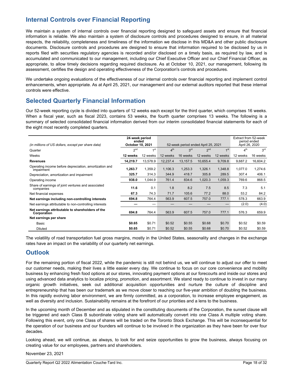# **Internal Controls over Financial Reporting**

We maintain a system of internal controls over financial reporting designed to safeguard assets and ensure that financial information is reliable. We also maintain a system of disclosure controls and procedures designed to ensure, in all material respects, the reliability, completeness and timeliness of the information we disclose in this MD&A and other public disclosure documents. Disclosure controls and procedures are designed to ensure that information required to be disclosed by us in reports filed with securities regulatory agencies is recorded and/or disclosed on a timely basis, as required by law, and is accumulated and communicated to our management, including our Chief Executive Officer and our Chief Financial Officer, as appropriate, to allow timely decisions regarding required disclosure. As at October 10, 2021, our management, following its assessment, certifies the design and operating effectiveness of the Corporation's controls and procedures.

We undertake ongoing evaluations of the effectiveness of our internal controls over financial reporting and implement control enhancements, when appropriate. As at April 25, 2021, our management and our external auditors reported that these internal controls were effective.

## **Selected Quarterly Financial Information**

Our 52-week reporting cycle is divided into quarters of 12 weeks each except for the third quarter, which comprises 16 weeks. When a fiscal year, such as fiscal 2023, contains 53 weeks, the fourth quarter comprises 13 weeks. The following is a summary of selected consolidated financial information derived from our interim consolidated financial statements for each of the eight most recently completed quarters.

| (in millions of US dollars, except per share data)                   | 24-week period<br>ended<br>October 10, 2021 |                 | 52-week period ended April 25, 2021 |                 |                 | Extract from 52-week<br>period ended<br>April 26, 2020 |                 |                 |
|----------------------------------------------------------------------|---------------------------------------------|-----------------|-------------------------------------|-----------------|-----------------|--------------------------------------------------------|-----------------|-----------------|
| Quarter                                                              | 2 <sup>nd</sup>                             | 1 <sup>st</sup> | 4 <sup>th</sup>                     | 3 <sup>rd</sup> | 2 <sup>nd</sup> | 1 <sub>st</sub>                                        | 4 <sup>th</sup> | 3 <sup>rd</sup> |
| Weeks                                                                | 12 weeks                                    | 12 weeks        | 12 weeks                            | 16 weeks        | 12 weeks        | 12 weeks                                               | 12 weeks        | 16 weeks        |
| <b>Revenues</b>                                                      | 14.219.7                                    | 13.578.9        | 12,237.4                            | 13,157.5        | 10,655.4        | 9,709.8                                                | 9,687.2         | 16,604.2        |
| Operating income before depreciation, amortization and<br>impairment | 1,263.7                                     | 1,359.2         | 1,106.3                             | 1,253.3         | 1,326.1         | 1,348.8                                                | 1,077.0         | 1,274.6         |
| Depreciation, amortization and impairment                            | 325.7                                       | 314.3           | 344.9                               | 418.7           | 305.8           | 289.5                                                  | 307.4           | 406.1           |
| Operating income                                                     | 938.0                                       | 1,044.9         | 761.4                               | 834.6           | 1,020.3         | 1,059.3                                                | 769.6           | 868.5           |
| Share of earnings of joint ventures and associated<br>companies      | 11.6                                        | 0.1             | 1.8                                 | 8.2             | 7.5             | 8.5                                                    | 7.3             | 5.1             |
| Net financial expenses                                               | 67.3                                        | 74.3            | 71.7                                | 105.6           | 77.2            | 88.0                                                   | 53.2            | 84.2            |
| Net earnings including non-controlling interests                     | 694.8                                       | 764.4           | 563.9                               | 607.5           | 757.0           | 777.1                                                  | 578.3           | 663.9           |
| Net earnings attributable to non-controlling interests               |                                             |                 |                                     |                 |                 | –                                                      | (2.0)           | (4.0)           |
| Net earnings attributable to shareholders of the<br>Corporation      | 694.8                                       | 764.4           | 563.9                               | 607.5           | 757.0           | 777.1                                                  | 576.3           | 659.9           |
| Net earnings per share                                               |                                             |                 |                                     |                 |                 |                                                        |                 |                 |
| Basic                                                                | \$0.65                                      | \$0.71          | \$0.52                              | \$0.55          | \$0.68          | \$0.70                                                 | \$0.52          | \$0.59          |
| <b>Diluted</b>                                                       | \$0.65                                      | \$0.71          | \$0.52                              | \$0.55          | \$0.68          | \$0.70                                                 | \$0.52          | \$0.59          |

The volatility of road transportation fuel gross margins, mostly in the United States, seasonality and changes in the exchange rates have an impact on the variability of our quarterly net earnings.

## **Outlook**

For the remaining portion of fiscal 2022, while the pandemic is still not behind us, we will continue to adjust our offer to meet our customer needs, making their lives a little easier every day. We continue to focus on our core convenience and mobility business by enhancing fresh food options at our stores, innovating payment options at our forecourts and inside our stores and using advanced data analytics to localize pricing, promotion, and assortment. We stand ready to continue to invest in our many organic growth initiatives, seek out additional acquisition opportunities and nurture the culture of discipline and entrepreneurship that has been our trademark as we move closer to reaching our five-year ambition of doubling the business. In this rapidly evolving labor environment, we are firmly committed, as a corporation, to increase employee engagement, as well as diversity and inclusion. Sustainability remains at the forefront of our priorities and a lens to the business.

In the upcoming month of December and as stipulated in the constituting documents of the Corporation, the sunset clause will be triggered and each Class B subordinate voting share will automatically convert into one Class A multiple voting share. Following this event, only one Class of shares will be traded on the Toronto Stock Exchange. This will be inconsequential for the operation of our business and our founders will continue to be involved in the organization as they have been for over four decades.

Looking ahead, we will continue, as always, to look for and seize opportunities to grow the business, always focusing on creating value for our employees, partners and shareholders.

\_\_\_\_\_\_\_\_\_\_\_\_\_\_\_\_\_\_\_\_\_\_\_\_\_\_\_\_\_\_\_\_\_\_\_\_\_\_\_\_\_\_\_\_\_\_\_\_\_\_\_\_\_\_\_\_\_\_\_\_\_\_\_\_\_\_\_\_\_\_\_\_\_\_

November 23, 2021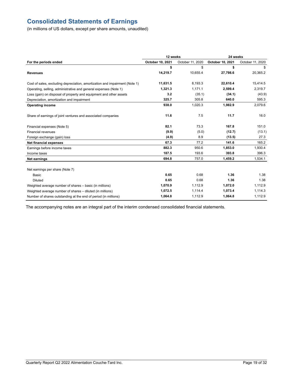# **Consolidated Statements of Earnings**

(in millions of US dollars, except per share amounts, unaudited)

|                                                                             | 12 weeks         |                  | 24 weeks         |                  |  |
|-----------------------------------------------------------------------------|------------------|------------------|------------------|------------------|--|
| For the periods ended                                                       | October 10, 2021 | October 11, 2020 | October 10, 2021 | October 11, 2020 |  |
|                                                                             | \$               | \$               | \$               | \$               |  |
| <b>Revenues</b>                                                             | 14,219.7         | 10,655.4         | 27,798.6         | 20,365.2         |  |
| Cost of sales, excluding depreciation, amortization and impairment (Note 1) | 11,631.5         | 8,193.3          | 22,610.4         | 15,414.5         |  |
| Operating, selling, administrative and general expenses (Note 1)            | 1,321.3          | 1,171.1          | 2,599.4          | 2,319.7          |  |
| Loss (gain) on disposal of property and equipment and other assets          | 3.2              | (35.1)           | (34.1)           | (43.9)           |  |
| Depreciation, amortization and impairment                                   | 325.7            | 305.8            | 640.0            | 595.3            |  |
| <b>Operating income</b>                                                     | 938.0            | 1,020.3          | 1,982.9          | 2,079.6          |  |
| Share of earnings of joint ventures and associated companies                | 11.6             | 7.5              | 11.7             | 16.0             |  |
| Financial expenses (Note 5)                                                 | 82.1             | 73.3             | 167.8            | 151.0            |  |
| <b>Financial revenues</b>                                                   | (9.9)            | (5.0)            | (12.7)           | (13.1)           |  |
| Foreign exchange (gain) loss                                                | (4.9)            | 8.9              | (13.5)           | 27.3             |  |
| <b>Net financial expenses</b>                                               | 67.3             | 77.2             | 141.6            | 165.2            |  |
| Earnings before income taxes                                                | 882.3            | 950.6            | 1,853.0          | 1,930.4          |  |
| Income taxes                                                                | 187.5            | 193.6            | 393.8            | 396.3            |  |
| Net earnings                                                                | 694.8            | 757.0            | 1,459.2          | 1,534.1          |  |
| Net earnings per share (Note 7)                                             |                  |                  |                  |                  |  |
| Basic                                                                       | 0.65             | 0.68             | 1.36             | 1.38             |  |
| <b>Diluted</b>                                                              | 0.65             | 0.68             | 1.36             | 1.38             |  |
| Weighted average number of shares - basic (in millions)                     | 1,070.9          | 1,112.9          | 1,072.0          | 1,112.9          |  |
| Weighted average number of shares - diluted (in millions)                   | 1,072.5          | 1,114.4          | 1,073.4          | 1,114.3          |  |
| Number of shares outstanding at the end of period (in millions)             | 1,064.8          | 1,112.9          | 1,064.8          | 1,112.9          |  |

The accompanying notes are an integral part of the interim condensed consolidated financial statements.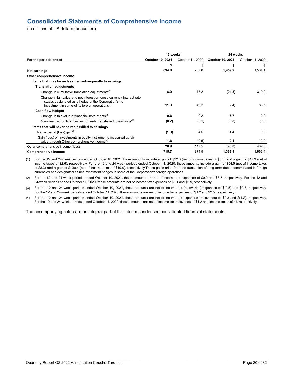# **Consolidated Statements of Comprehensive Income**

(in millions of US dollars, unaudited)

|                                                                                                                                                                                              | 12 weeks         |                  | 24 weeks         |                  |  |
|----------------------------------------------------------------------------------------------------------------------------------------------------------------------------------------------|------------------|------------------|------------------|------------------|--|
| For the periods ended                                                                                                                                                                        | October 10, 2021 | October 11, 2020 | October 10, 2021 | October 11, 2020 |  |
|                                                                                                                                                                                              | \$               | \$               | \$               | \$               |  |
| <b>Net earnings</b>                                                                                                                                                                          | 694.8            | 757.0            | 1,459.2          | 1,534.1          |  |
| Other comprehensive income                                                                                                                                                                   |                  |                  |                  |                  |  |
| Items that may be reclassified subsequently to earnings                                                                                                                                      |                  |                  |                  |                  |  |
| <b>Translation adjustments</b>                                                                                                                                                               |                  |                  |                  |                  |  |
| Change in cumulative translation adjustments <sup>(1)</sup>                                                                                                                                  | 8.9              | 73.2             | (94.8)           | 319.9            |  |
| Change in fair value and net interest on cross-currency interest rate<br>swaps designated as a hedge of the Corporation's net<br>investment in some of its foreign operations <sup>(2)</sup> | 11.9             | 49.2             | (2.4)            | 88.5             |  |
| Cash flow hedges                                                                                                                                                                             |                  |                  |                  |                  |  |
| Change in fair value of financial instruments <sup>(2)</sup>                                                                                                                                 | 0.6              | 0.2              | 5.7              | 2.9              |  |
| Gain realized on financial instruments transferred to earnings <sup>(2)</sup>                                                                                                                | (0.2)            | (0.1)            | (0.8)            | (0.8)            |  |
| Items that will never be reclassified to earnings                                                                                                                                            |                  |                  |                  |                  |  |
| Net actuarial (loss) gain $(3)$                                                                                                                                                              | (1.9)            | 4.5              | 1.4              | 9.8              |  |
| Gain (loss) on investments in equity instruments measured at fair<br>value through Other comprehensive income <sup>(4)</sup>                                                                 | 1.6              | (9.5)            | 0.1              | 12.0             |  |
| Other comprehensive income (loss)                                                                                                                                                            | 20.9             | 117.5            | (90.8)           | 432.3            |  |
| <b>Comprehensive income</b>                                                                                                                                                                  | 715.7            | 874.5            | 1,368.4          | 1,966.4          |  |

(1) For the 12 and 24‑week periods ended October 10, 2021, these amounts include a gain of \$22.0 (net of income taxes of \$3.3) and a gain of \$17.3 (net of income taxes of \$2.6), respectively. For the 12 and 24‑week periods ended October 11, 2020, these amounts include a gain of \$54.5 (net of income taxes of \$8.3) and a gain of \$130.4 (net of income taxes of \$19.9), respectively.These gains arise from the translation of long-term debts denominated in foreign currencies and designated as net investment hedges in some of the Corporation's foreign operations.

(2) For the 12 and 24‑week periods ended October 10, 2021, these amounts are net of income tax expenses of \$0.9 and \$3.7, respectively. For the 12 and 24‑week periods ended October 11, 2020, these amounts are net of income tax expenses of \$0.1 and \$0.9, respectively.

(3) For the 12 and 24‑week periods ended October 10, 2021, these amounts are net of income tax (recoveries) expenses of \$(0.5) and \$0.3, respectively. For the 12 and 24‑week periods ended October 11, 2020, these amounts are net of income tax expenses of \$1.2 and \$2.5, respectively.

(4) For the 12 and 24‑week periods ended October 10, 2021, these amounts are net of income tax expenses (recoveries) of \$0.3 and \$(1.2), respectively. For the 12 and 24‑week periods ended October 11, 2020, these amounts are net of income tax recoveries of \$1.2 and income taxes of nil, respectively.

The accompanying notes are an integral part of the interim condensed consolidated financial statements.

\_\_\_\_\_\_\_\_\_\_\_\_\_\_\_\_\_\_\_\_\_\_\_\_\_\_\_\_\_\_\_\_\_\_\_\_\_\_\_\_\_\_\_\_\_\_\_\_\_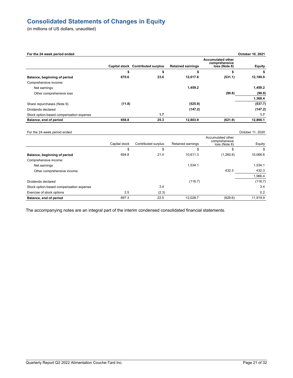# **Consolidated Statements of Changes in Equity**

(in millions of US dollars, unaudited)

| For the 24-week period ended            |               |                                   |                          |                                                            | October 10, 2021 |
|-----------------------------------------|---------------|-----------------------------------|--------------------------|------------------------------------------------------------|------------------|
|                                         |               | Capital stock Contributed surplus | <b>Retained earnings</b> | <b>Accumulated other</b><br>comprehensive<br>loss (Note 8) | <b>Equity</b>    |
|                                         | \$            | \$                                | \$                       | \$                                                         | S                |
| Balance, beginning of period            | 670.6         | 23.6                              | 12,017.8                 | (531.1)                                                    | 12,180.9         |
| Comprehensive income:                   |               |                                   |                          |                                                            |                  |
| Net earnings                            |               |                                   | 1,459.2                  |                                                            | 1.459.2          |
| Other comprehensive loss                |               |                                   |                          | (90.8)                                                     | (90.8)           |
|                                         |               |                                   |                          |                                                            | 1,368.4          |
| Share repurchases (Note 9)              | (11.8)        |                                   | (525.9)                  |                                                            | (537.7)          |
| Dividends declared                      |               |                                   | (147.2)                  |                                                            | (147.2)          |
| Stock option-based compensation expense |               | 1.7                               |                          |                                                            | 1.7              |
| Balance, end of period                  | 658.8         | 25.3                              | 12,803.9                 | (621.9)                                                    | 12,866.1         |
| For the 24-week period ended            |               |                                   |                          |                                                            | October 11, 2020 |
|                                         |               |                                   |                          | Accumulated other                                          |                  |
|                                         | Capital stock | Contributed surplus               | Retained earnings        | comprehensive<br>loss (Note 8)                             | Equity           |
|                                         | \$            | \$                                | \$                       | \$                                                         | \$               |
| Balance, beginning of period            | 694.8         | 21.4                              | 10,611.3                 | (1,260.9)                                                  | 10,066.6         |
| Comprehensive income:                   |               |                                   |                          |                                                            |                  |
| Net earnings                            |               |                                   | 1,534.1                  |                                                            | 1.534.1          |
| Other comprehensive income              |               |                                   |                          | 432.3                                                      | 432.3            |
|                                         |               |                                   |                          |                                                            | 1.966.4          |
| Dividends declared                      |               |                                   | (116.7)                  |                                                            | (116.7)          |
| Stock option-based compensation expense |               | 3.4                               |                          |                                                            | 3.4              |

Exercise of stock options 0.2 (2.3) 0.2 **Balance, end of period** 697.3 22.5 12,028.7 (828.6) 11,919.9

The accompanying notes are an integral part of the interim condensed consolidated financial statements.

\_\_\_\_\_\_\_\_\_\_\_\_\_\_\_\_\_\_\_\_\_\_\_\_\_\_\_\_\_\_\_\_\_\_\_\_\_\_\_\_\_\_\_\_\_\_\_\_\_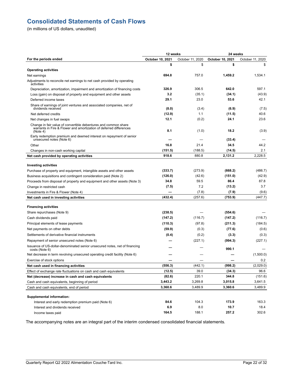# **Consolidated Statements of Cash Flows**

(in millions of US dollars, unaudited)

|                                                                                                                                                   | 12 weeks         |                  | 24 weeks         |                  |  |
|---------------------------------------------------------------------------------------------------------------------------------------------------|------------------|------------------|------------------|------------------|--|
| For the periods ended                                                                                                                             | October 10, 2021 | October 11, 2020 | October 10, 2021 | October 11, 2020 |  |
|                                                                                                                                                   | \$               | \$               | \$               | \$               |  |
| <b>Operating activities</b>                                                                                                                       |                  |                  |                  |                  |  |
| Net earnings                                                                                                                                      | 694.8            | 757.0            | 1,459.2          | 1,534.1          |  |
| Adjustments to reconcile net earnings to net cash provided by operating<br>activities                                                             |                  |                  |                  |                  |  |
| Depreciation, amortization, impairment and amortization of financing costs                                                                        | 326.9            | 306.5            | 642.0            | 597.1            |  |
| Loss (gain) on disposal of property and equipment and other assets                                                                                | 3.2              | (35.1)           | (34.1)           | (43.9)           |  |
| Deferred income taxes                                                                                                                             | 29.1             | 23.0             | 53.6             | 42.1             |  |
| Share of earnings of joint ventures and associated companies, net of<br>dividends received                                                        | (8.0)            | (3.4)            | (6.9)            | (7.5)            |  |
| Net deferred credits                                                                                                                              | (12.9)           | 1.1              | (11.5)           | 40.6             |  |
| Net changes in fuel swaps                                                                                                                         | 12.1             | (0.2)            | 24.1             | 23.6             |  |
| Change in fair value of convertible debentures and common share<br>warrants in Fire & Flower and amortization of deferred differences<br>(Note 4) | 8.1              | (1.0)            | 18.2             | (3.9)            |  |
| Early redemption premium and deemed interest on repayment of senior<br>unsecured notes (Note 6)                                                   |                  |                  | (33.4)           |                  |  |
| Other                                                                                                                                             | 16.8             | 21.4             | 34.5             | 44.2             |  |
| Changes in non-cash working capital                                                                                                               | (151.5)          | (188.5)          | (14.5)           | 2.1              |  |
| Net cash provided by operating activities                                                                                                         | 918.6            | 880.8            | 2.131.2          | 2,228.5          |  |
|                                                                                                                                                   |                  |                  |                  |                  |  |
| <b>Investing activities</b>                                                                                                                       |                  |                  |                  |                  |  |
| Purchase of property and equipment, intangible assets and other assets                                                                            | (333.7)          | (273.9)          | (668.2)          | (486.7)          |  |
| Business acquisitions and contingent consideration paid (Note 2)                                                                                  | (126.0)          | (42.6)           | (151.0)          | (42.9)           |  |
| Proceeds from disposal of property and equipment and other assets (Note 3)                                                                        | 34.8             | 59.5             | 86.4             | 87.8             |  |
| Change in restricted cash                                                                                                                         | (7.5)            | 7.2              | (13.2)           | 3.7              |  |
| Investments in Fire & Flower (Note 4)                                                                                                             |                  | (7.8)            | (7.9)            | (9.6)            |  |
| Net cash used in investing activities                                                                                                             | (432.4)          | (257.6)          | (753.9)          | (447.7)          |  |
| <b>Financing activities</b>                                                                                                                       |                  |                  |                  |                  |  |
| Share repurchases (Note 9)                                                                                                                        | (238.5)          |                  | (554.6)          |                  |  |
| Cash dividends paid                                                                                                                               | (147.2)          | (116.7)          | (147.2)          | (116.7)          |  |
| Principal elements of lease payments                                                                                                              | (110.3)          | (97.8)           | (211.3)          | (184.5)          |  |
| Net payments on other debts                                                                                                                       | (59.9)           | (0.3)            | (77.6)           | (0.6)            |  |
| Settlements of derivative financial instruments                                                                                                   | (0.4)            | (0.2)            | (3.3)            | (0.3)            |  |
| Repayment of senior unsecured notes (Note 6)                                                                                                      |                  | (227.1)          | (994.3)          | (227.1)          |  |
| Issuance of US-dollar-denominated senior unsecured notes, net of financing<br>costs (Note 6)                                                      |                  |                  | 990.1            |                  |  |
| Net decrease in term revolving unsecured operating credit facility (Note 6)                                                                       |                  |                  |                  | (1,500.0)        |  |
| Exercise of stock options                                                                                                                         |                  |                  |                  | 0.2              |  |
| Net cash used in financing activities                                                                                                             | (556.3)          | (442.1)          | (998.2)          | (2,029.0)        |  |
| Effect of exchange rate fluctuations on cash and cash equivalents                                                                                 | (12.5)           | 39.0             | (34.3)           | 96.6             |  |
| Net (decrease) increase in cash and cash equivalents                                                                                              | (82.6)           | 220.1            | 344.8            | (151.6)          |  |
| Cash and cash equivalents, beginning of period                                                                                                    | 3,443.2          | 3,269.8          | 3,015.8          | 3,641.5          |  |
| Cash and cash equivalents, end of period                                                                                                          | 3,360.6          | 3,489.9          | 3,360.6          | 3,489.9          |  |
|                                                                                                                                                   |                  |                  |                  |                  |  |
| <b>Supplemental information:</b>                                                                                                                  |                  |                  |                  |                  |  |
| Interest and early redemption premium paid (Note 6)                                                                                               | 84.6             | 104.3            | 173.9            | 163.3            |  |
| Interest and dividends received                                                                                                                   | 6.9              | 8.0              | 10.7             | 18.4             |  |
| Income taxes paid                                                                                                                                 | 164.5            | 188.1            | 257.2            | 302.6            |  |

The accompanying notes are an integral part of the interim condensed consolidated financial statements.

\_\_\_\_\_\_\_\_\_\_\_\_\_\_\_\_\_\_\_\_\_\_\_\_\_\_\_\_\_\_\_\_\_\_\_\_\_\_\_\_\_\_\_\_\_\_\_\_\_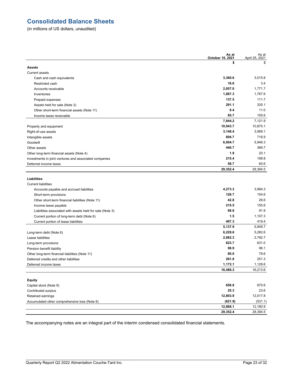# **Consolidated Balance Sheets**

(in millions of US dollars, unaudited)

|                                                           | As at<br>October 10, 2021 | As at<br>April 25, 2021 |
|-----------------------------------------------------------|---------------------------|-------------------------|
|                                                           | \$                        | \$                      |
| <b>Assets</b>                                             |                           |                         |
| <b>Current assets</b>                                     |                           |                         |
| Cash and cash equivalents                                 | 3,360.6                   | 3.015.8                 |
| Restricted cash                                           | 16.6                      | 3.4                     |
| Accounts receivable                                       | 2,057.0                   | 1,771.7                 |
| Inventories                                               | 1,887.3                   | 1,767.6                 |
| Prepaid expenses                                          | 137.5                     | 111.7                   |
| Assets held for sale (Note 3)                             | 291.1                     | 335.1                   |
| Other short-term financial assets (Note 11)               | 8.4                       | 11.0                    |
| Income taxes receivable                                   | 85.7                      | 105.6                   |
|                                                           | 7,844.2                   | 7,121.9                 |
| Property and equipment                                    | 10,943.7                  | 10,870.1                |
| Right-of-use assets                                       | 3,148.4                   | 3,069.1                 |
| Intangible assets                                         | 694.7                     | 716.9                   |
| Goodwill                                                  | 6,004.7                   | 5,946.3                 |
| Other assets                                              | 440.7                     | 389.7                   |
| Other long-term financial assets (Note 4)                 | 1.9                       | 20.1                    |
| Investments in joint ventures and associated companies    | 215.4                     | 199.8                   |
| Deferred income taxes                                     | 58.7                      | 60.6                    |
|                                                           | 29,352.4                  | 28,394.5                |
| <b>Liabilities</b>                                        |                           |                         |
| <b>Current liabilities</b>                                |                           |                         |
| Accounts payable and accrued liabilities                  | 4,273.3                   | 3.994.3                 |
| Short-term provisions                                     | 128.7                     | 154.6                   |
| Other short-term financial liabilities (Note 11)          | 42.8                      | 26.6                    |
| Income taxes payable                                      | 215.5                     | 155.6                   |
| Liabilities associated with assets held for sale (Note 3) | 68.8                      | 91.9                    |
| Current portion of long-term debt (Note 6)                | 1.5                       | 1,107.3                 |
| Current portion of lease liabilities                      | 407.3                     | 419.4                   |
|                                                           | 5,137.9                   | 5,949.7                 |
| Long-term debt (Note 6)                                   | 6,229.6                   | 5,282.6                 |
| Lease liabilities                                         | 2,882.3                   | 2,792.7                 |
| Long-term provisions                                      | 623.7                     | 631.0                   |
| Pension benefit liability                                 | 98.9                      | 98.1                    |
| Other long-term financial liabilities (Note 11)           | 80.0                      | 79.6                    |
| Deferred credits and other liabilities                    | 261.8                     | 251.3                   |
| Deferred income taxes                                     | 1,172.1                   | 1,128.6                 |
|                                                           | 16,486.3                  | 16,213.6                |
|                                                           |                           |                         |
| <b>Equity</b>                                             |                           |                         |
| Capital stock (Note 9)                                    | 658.8                     | 670.6                   |
| Contributed surplus                                       | 25.3                      | 23.6                    |
| Retained earnings                                         | 12,803.9                  | 12,017.8                |
| Accumulated other comprehensive loss (Note 8)             | (621.9)                   | (531.1)                 |
|                                                           | 12,866.1                  | 12,180.9                |
|                                                           | 29,352.4                  | 28,394.5                |

The accompanying notes are an integral part of the interim condensed consolidated financial statements.

\_\_\_\_\_\_\_\_\_\_\_\_\_\_\_\_\_\_\_\_\_\_\_\_\_\_\_\_\_\_\_\_\_\_\_\_\_\_\_\_\_\_\_\_\_\_\_\_\_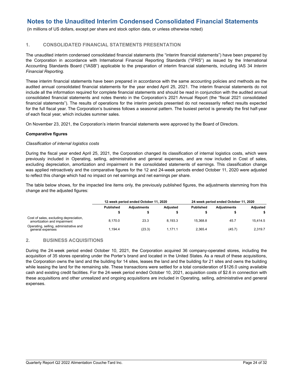(in millions of US dollars, except per share and stock option data, or unless otherwise noted)

#### **1. CONSOLIDATED FINANCIAL STATEMENTS PRESENTATION**

The unaudited interim condensed consolidated financial statements (the "interim financial statements") have been prepared by the Corporation in accordance with International Financial Reporting Standards ("IFRS") as issued by the International Accounting Standards Board ("IASB") applicable to the preparation of interim financial statements, including IAS 34 *Interim Financial Reporting*.

These interim financial statements have been prepared in accordance with the same accounting policies and methods as the audited annual consolidated financial statements for the year ended April 25, 2021. The interim financial statements do not include all the information required for complete financial statements and should be read in conjunction with the audited annual consolidated financial statements and notes thereto in the Corporation's 2021 Annual Report (the "fiscal 2021 consolidated financial statements"). The results of operations for the interim periods presented do not necessarily reflect results expected for the full fiscal year. The Corporation's business follows a seasonal pattern. The busiest period is generally the first half-year of each fiscal year, which includes summer sales.

On November 23, 2021, the Corporation's interim financial statements were approved by the Board of Directors.

#### **Comparative figures**

#### *Classification of internal logistics costs*

During the fiscal year ended April 25, 2021, the Corporation changed its classification of internal logistics costs, which were previously included in Operating, selling, administrative and general expenses, and are now included in Cost of sales, excluding depreciation, amortization and impairment in the consolidated statements of earnings. This classification change was applied retroactively and the comparative figures for the 12 and 24-week periods ended October 11, 2020 were adjusted to reflect this change which had no impact on net earnings and net earnings per share.

The table below shows, for the impacted line items only, the previously published figures, the adjustments stemming from this change and the adjusted figures:

|                                                                       |                  | 12-week period ended October 11, 2020 |                 |           | 24-week period ended October 11, 2020 |          |
|-----------------------------------------------------------------------|------------------|---------------------------------------|-----------------|-----------|---------------------------------------|----------|
|                                                                       | <b>Published</b> | <b>Adiustments</b>                    | <b>Adiusted</b> | Published | <b>Adiustments</b>                    | Adjusted |
|                                                                       |                  |                                       |                 |           |                                       |          |
| Cost of sales, excluding depreciation,<br>amortization and impairment | 8.170.0          | 23.3                                  | 8.193.3         | 15.368.8  | 45.7                                  | 15.414.5 |
| Operating, selling, administrative and<br>general expenses            | 1.194.4          | (23.3)                                | 1.171.1         | 2.365.4   | (45.7)                                | 2.319.7  |

#### **2. BUSINESS ACQUISITIONS**

During the 24‑week period ended October 10, 2021, the Corporation acquired 36 company-operated stores, including the acquisition of 35 stores operating under the Porter's brand and located in the United States. As a result of these acquisitions, the Corporation owns the land and the building for 14 sites, leases the land and the building for 21 sites and owns the building while leasing the land for the remaining site. These transactions were settled for a total consideration of \$126.0 using available cash and existing credit facilities. For the 24‑week period ended October 10, 2021, acquisition costs of \$2.6 in connection with these acquisitions and other unrealized and ongoing acquisitions are included in Operating, selling, administrative and general expenses.

\_\_\_\_\_\_\_\_\_\_\_\_\_\_\_\_\_\_\_\_\_\_\_\_\_\_\_\_\_\_\_\_\_\_\_\_\_\_\_\_\_\_\_\_\_\_\_\_\_\_\_\_\_\_\_\_\_\_\_\_\_\_\_\_\_\_\_\_\_\_\_\_\_\_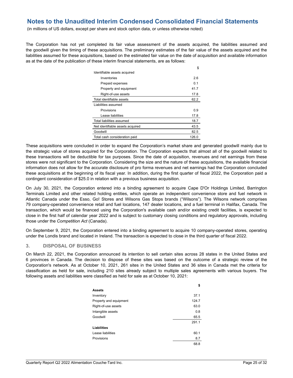(in millions of US dollars, except per share and stock option data, or unless otherwise noted)

The Corporation has not yet completed its fair value assessment of the assets acquired, the liabilities assumed and the goodwill given the timing of these acquisitions. The preliminary estimates of the fair value of the assets acquired and the liabilities assumed for these acquisitions, based on the estimated fair value on the date of acquisition and available information as at the date of the publication of these interim financial statements, are as follows:

|                                  | \$    |
|----------------------------------|-------|
| Identifiable assets acquired     |       |
| Inventories                      | 2.6   |
| Prepaid expenses                 | 0.1   |
| Property and equipment           | 41.7  |
| Right-of-use assets              | 17.8  |
| Total identifiable assets        | 62.2  |
| Liabilities assumed              |       |
| Provisions                       | 0.9   |
| Lease liabilities                | 17.8  |
| Total liabilities assumed        | 18.7  |
| Net identifiable assets acquired | 43.5  |
| Goodwill                         | 82.5  |
| Total cash consideration paid    | 126.0 |

These acquisitions were concluded in order to expand the Corporation's market share and generated goodwill mainly due to the strategic value of stores acquired for the Corporation. The Corporation expects that almost all of the goodwill related to these transactions will be deductible for tax purposes. Since the date of acquisition, revenues and net earnings from these stores were not significant to the Corporation. Considering the size and the nature of these acquisitions, the available financial information does not allow for the accurate disclosure of pro forma revenues and net earnings had the Corporation concluded these acquisitions at the beginning of its fiscal year. In addition, during the first quarter of fiscal 2022, the Corporation paid a contingent consideration of \$25.0 in relation with a previous business acquisition.

On July 30, 2021, the Corporation entered into a binding agreement to acquire Cape D'Or Holdings Limited, Barrington Terminals Limited and other related holding entities, which operate an independent convenience store and fuel network in Atlantic Canada under the Esso, Go! Stores and Wilsons Gas Stops brands ("Wilsons"). The Wilsons network comprises 79 company-operated convenience retail and fuel locations, 147 dealer locations, and a fuel terminal in Halifax, Canada. The transaction, which would be financed using the Corporation's available cash and/or existing credit facilities, is expected to close in the first half of calendar year 2022 and is subject to customary closing conditions and regulatory approvals, including those under the *Competition Act* (Canada).

On September 9, 2021, the Corporation entered into a binding agreement to acquire 10 company-operated stores, operating under the Londis brand and located in Ireland. The transaction is expected to close in the third quarter of fiscal 2022.

#### **3. DISPOSAL OF BUSINESS**

On March 22, 2021, the Corporation announced its intention to sell certain sites across 28 states in the United States and 6 provinces in Canada. The decision to dispose of these sites was based on the outcome of a strategic review of the Corporation's network. As at October 10, 2021, 261 sites in the United States and 36 sites in Canada met the criteria for classification as held for sale, including 210 sites already subject to multiple sales agreements with various buyers. The following assets and liabilities were classified as held for sale as at October 10, 2021:

|                        | \$    |
|------------------------|-------|
| <b>Assets</b>          |       |
| Inventory              | 37.1  |
| Property and equipment | 124.7 |
| Right-of-use assets    | 63.0  |
| Intangible assets      | 0.8   |
| Goodwill               | 65.5  |
|                        | 291.1 |
| Liabilities            |       |
| Lease liabilities      | 60.1  |
| Provisions             | 8.7   |
|                        | 68.8  |

\_\_\_\_\_\_\_\_\_\_\_\_\_\_\_\_\_\_\_\_\_\_\_\_\_\_\_\_\_\_\_\_\_\_\_\_\_\_\_\_\_\_\_\_\_\_\_\_\_\_\_\_\_\_\_\_\_\_\_\_\_\_\_\_\_\_\_\_\_\_\_\_\_\_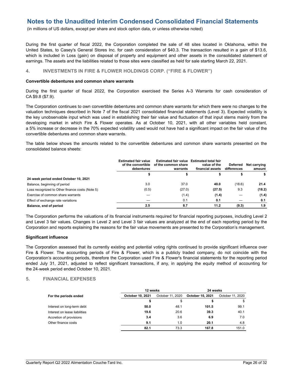(in millions of US dollars, except per share and stock option data, or unless otherwise noted)

During the first quarter of fiscal 2022, the Corporation completed the sale of 48 sites located in Oklahoma, within the United States, to Casey's General Stores Inc. for cash consideration of \$40.3. The transaction resulted in a gain of \$13.6, which is included in Loss (gain) on disposal of property and equipment and other assets in the consolidated statement of earnings. The assets and the liabilities related to those sites were classified as held for sale starting March 22, 2021.

#### **4. INVESTMENTS IN FIRE & FLOWER HOLDINGS CORP. ("FIRE & FLOWER")**

#### **Convertible debentures and common share warrants**

During the first quarter of fiscal 2022, the Corporation exercised the Series A-3 Warrants for cash consideration of CA \$9.8 (\$7.9).

The Corporation continues to own convertible debentures and common share warrants for which there were no changes to the valuation techniques described in Note 7 of the fiscal 2021 consolidated financial statements (Level 3). Expected volatility is the key unobservable input which was used in establishing their fair value and fluctuation of that input stems mainly from the developing market in which Fire & Flower operates. As at October 10, 2021, with all other variables held constant, a 5% increase or decrease in the 70% expected volatility used would not have had a significant impact on the fair value of the convertible debentures and common share warrants.

The table below shows the amounts related to the convertible debentures and common share warrants presented on the consolidated balance sheets:

|                                                 | <b>Estimated fair value</b><br>of the convertible<br>debentures | Estimated fair value Estimated total fair<br>of the common share<br>warrants | value of the<br>financial assets | Deferred<br>differences | Net carrying<br>amount |
|-------------------------------------------------|-----------------------------------------------------------------|------------------------------------------------------------------------------|----------------------------------|-------------------------|------------------------|
|                                                 |                                                                 |                                                                              |                                  |                         | s                      |
| 24-week period ended October 10, 2021           |                                                                 |                                                                              |                                  |                         |                        |
| Balance, beginning of period                    | 3.0                                                             | 37.0                                                                         | 40.0                             | (18.6)                  | 21.4                   |
| Loss recognized to Other finance costs (Note 5) | (0.5)                                                           | (27.0)                                                                       | (27.5)                           | 9.3                     | (18.2)                 |
| Exercise of common share warrants               |                                                                 | (1.4)                                                                        | (1.4)                            |                         | (1.4)                  |
| Effect of exchange rate variations              |                                                                 | 0.1                                                                          | 0.1                              |                         | 0.1                    |
| Balance, end of period                          | 2.5                                                             | 8.7                                                                          | 11.2                             | (9.3)                   | 1.9                    |

The Corporation performs the valuations of its financial instruments required for financial reporting purposes, including Level 2 and Level 3 fair values. Changes in Level 2 and Level 3 fair values are analyzed at the end of each reporting period by the Corporation and reports explaining the reasons for the fair value movements are presented to the Corporation's management.

#### **Significant influence**

The Corporation assessed that its currently existing and potential voting rights continued to provide significant influence over Fire & Flower. The accounting periods of Fire & Flower, which is a publicly traded company, do not coincide with the Corporation's accounting periods, therefore the Corporation used Fire & Flower's financial statements for the reporting period ended July 31, 2021, adjusted to reflect significant transactions, if any, in applying the equity method of accounting for the 24‑week period ended October 10, 2021.

#### **5. FINANCIAL EXPENSES**

|                               | 12 weeks         |                  | 24 weeks                |                  |  |
|-------------------------------|------------------|------------------|-------------------------|------------------|--|
| For the periods ended         | October 10, 2021 | October 11, 2020 | <b>October 10, 2021</b> | October 11, 2020 |  |
|                               | ъ                | \$               | S                       |                  |  |
| Interest on long-term debt    | 50.0             | 48.1             | 101.5                   | 99.1             |  |
| Interest on lease liabilities | 19.6             | 20.6             | 39.3                    | 40.1             |  |
| Accretion of provisions       | 3.4              | 3.6              | 6.9                     | 7.0              |  |
| Other finance costs           | 9.1              | 1.0              | 20.1                    | 4.8              |  |
|                               | 82.1             | 73.3             | 167.8                   | 151.0            |  |

\_\_\_\_\_\_\_\_\_\_\_\_\_\_\_\_\_\_\_\_\_\_\_\_\_\_\_\_\_\_\_\_\_\_\_\_\_\_\_\_\_\_\_\_\_\_\_\_\_\_\_\_\_\_\_\_\_\_\_\_\_\_\_\_\_\_\_\_\_\_\_\_\_\_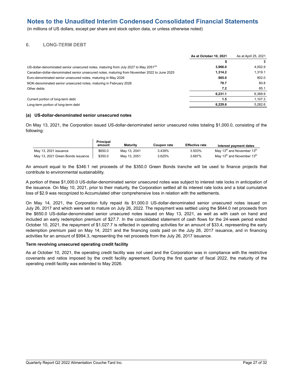(in millions of US dollars, except per share and stock option data, or unless otherwise noted)

#### **6. LONG-TERM DEBT**

|                                                                                                  | As at October 10, 2021 | As at April 25, 2021 |
|--------------------------------------------------------------------------------------------------|------------------------|----------------------|
|                                                                                                  |                        |                      |
| US-dollar-denominated senior unsecured notes, maturing from July 2027 to May 2051 <sup>(a)</sup> | 3.966.0                | 4.002.9              |
| Canadian-dollar-denominated senior unsecured notes, maturing from November 2022 to June 2025     | 1.314.2                | 1.319.1              |
| Euro-denominated senior unsecured notes, maturing in May 2026                                    | 865.0                  | 902.0                |
| NOK-denominated senior unsecured notes, maturing in February 2026                                | 78.7                   | 80.8                 |
| Other debts                                                                                      | 7.2                    | 85.1                 |
|                                                                                                  | 6.231.1                | 6,389.9              |
| Current portion of long-term debt                                                                | 1.5                    | 1.107.3              |
| Long-term portion of long-term debt                                                              | 6.229.6                | 5.282.6              |

#### **(a) US-dollar-denominated senior unsecured notes**

On May 13, 2021, the Corporation issued US-dollar-denominated senior unsecured notes totaling \$1,000.0, consisting of the following:

|                                   | <b>Principal</b><br>amount | Maturity     | Coupon rate | <b>Effective rate</b> | Interest payment dates                             |
|-----------------------------------|----------------------------|--------------|-------------|-----------------------|----------------------------------------------------|
| May 13, 2021 issuance             | \$650.0                    | May 13, 2041 | 3.439%      | 3.503%                | May 13 <sup>th</sup> and November 13 <sup>th</sup> |
| May 13, 2021 Green Bonds issuance | \$350.0                    | May 13, 2051 | 3.625%      | 3.687%                | May 13 <sup>th</sup> and November 13 <sup>th</sup> |

An amount equal to the \$346.1 net proceeds of the \$350.0 Green Bonds tranche will be used to finance projects that contribute to environmental sustainability.

A portion of these \$1,000.0 US-dollar-denominated senior unsecured notes was subject to interest rate locks in anticipation of the issuance. On May 10, 2021, prior to their maturity, the Corporation settled all its interest rate locks and a total cumulative loss of \$2.9 was recognized to Accumulated other comprehensive loss in relation with the settlements.

On May 14, 2021, the Corporation fully repaid its \$1,000.0 US-dollar-denominated senior unsecured notes issued on July 26, 2017 and which were set to mature on July 26, 2022. The repayment was settled using the \$644.0 net proceeds from the \$650.0 US-dollar-denominated senior unsecured notes issued on May 13, 2021, as well as with cash on hand and included an early redemption premium of \$27.7. In the consolidated statement of cash flows for the 24‑week period ended October 10, 2021, the repayment of \$1,027.7 is reflected in operating activities for an amount of \$33.4, representing the early redemption premium paid on May 14, 2021 and the financing costs paid on the July 26, 2017 issuance, and in financing activities for an amount of \$994.3, representing the net proceeds from the July 26, 2017 issuance.

#### **Term revolving unsecured operating credit facility**

As at October 10, 2021, the operating credit facility was not used and the Corporation was in compliance with the restrictive covenants and ratios imposed by the credit facility agreement. During the first quarter of fiscal 2022, the maturity of the operating credit facility was extended to May 2026.

\_\_\_\_\_\_\_\_\_\_\_\_\_\_\_\_\_\_\_\_\_\_\_\_\_\_\_\_\_\_\_\_\_\_\_\_\_\_\_\_\_\_\_\_\_\_\_\_\_\_\_\_\_\_\_\_\_\_\_\_\_\_\_\_\_\_\_\_\_\_\_\_\_\_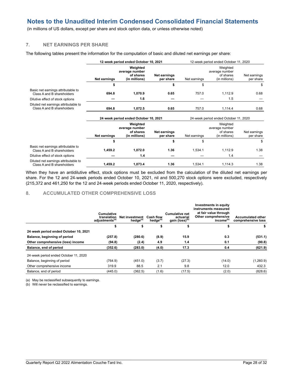(in millions of US dollars, except per share and stock option data, or unless otherwise noted)

## **7. NET EARNINGS PER SHARE**

The following tables present the information for the computation of basic and diluted net earnings per share:

|                                                                    | 12-week period ended October 10, 2021                                           |                                                          |                                       | 12-week period ended October 11, 2020 |                                                          |                           |  |
|--------------------------------------------------------------------|---------------------------------------------------------------------------------|----------------------------------------------------------|---------------------------------------|---------------------------------------|----------------------------------------------------------|---------------------------|--|
|                                                                    | Weighted<br>average number<br>of shares<br>(in millions)<br><b>Net earnings</b> |                                                          | <b>Net earnings</b><br>per share      | Net earnings                          | Weighted<br>average number<br>of shares<br>(in millions) | Net earnings<br>per share |  |
|                                                                    | \$                                                                              |                                                          | \$                                    | \$                                    |                                                          | \$                        |  |
| Basic net earnings attributable to<br>Class A and B shareholders   | 694.8                                                                           | 1,070.9                                                  | 0.65                                  | 757.0                                 | 1,112.9                                                  | 0.68                      |  |
| Dilutive effect of stock options                                   |                                                                                 | 1.6                                                      |                                       |                                       | 1.5                                                      |                           |  |
| Diluted net earnings attributable to<br>Class A and B shareholders | 694.8                                                                           | 1,072.5                                                  | 0.65                                  | 757.0                                 | 1,114.4                                                  | 0.68                      |  |
|                                                                    | 24-week period ended October 10, 2021                                           |                                                          | 24-week period ended October 11, 2020 |                                       |                                                          |                           |  |
|                                                                    | Net earnings                                                                    | Weighted<br>average number<br>of shares<br>(in millions) | <b>Net earnings</b><br>per share      | Net earnings                          | Weighted<br>average number<br>of shares<br>(in millions) | Net earnings<br>per share |  |
|                                                                    | \$                                                                              |                                                          | \$                                    | \$                                    |                                                          | \$                        |  |
| Basic net earnings attributable to<br>Class A and B shareholders   | 1,459.2                                                                         | 1,072.0                                                  | 1.36                                  | 1,534.1                               | 1,112.9                                                  | 1.38                      |  |
| Dilutive effect of stock options                                   |                                                                                 | 1.4                                                      |                                       |                                       | 1.4                                                      |                           |  |
| Diluted net earnings attributable to<br>Class A and B shareholders | 1,459.2                                                                         | 1,073.4                                                  | 1.36                                  | 1,534.1                               | 1,114.3                                                  | 1.38                      |  |

When they have an antidilutive effect, stock options must be excluded from the calculation of the diluted net earnings per share. For the 12 and 24-week periods ended October 10, 2021, nil and 500,270 stock options were excluded, respectively (215,372 and 461,250 for the 12 and 24‑week periods ended October 11, 2020, respectively).

#### **8. ACCUMULATED OTHER COMPREHENSIVE LOSS**

|                                       | Cumulative<br>translation<br>adjustments <sup>(a)</sup> | Net investment<br>hedge <sup>(a)</sup> | <b>Cash flow</b><br>hedge <sup>(a)</sup> | <b>Cumulative net</b><br>actuarial<br>gain (loss) <sup>(b)</sup> | Investments in equity<br>instruments measured<br>at fair value through<br>Other comprehensive<br>income <sup>(b)</sup> | <b>Accumulated other</b><br>comprehensive loss |
|---------------------------------------|---------------------------------------------------------|----------------------------------------|------------------------------------------|------------------------------------------------------------------|------------------------------------------------------------------------------------------------------------------------|------------------------------------------------|
|                                       | \$                                                      | \$                                     | \$                                       | \$                                                               | \$                                                                                                                     | S                                              |
| 24-week period ended October 10, 2021 |                                                         |                                        |                                          |                                                                  |                                                                                                                        |                                                |
| Balance, beginning of period          | (257.8)                                                 | (280.6)                                | (8.9)                                    | 15.9                                                             | 0.3                                                                                                                    | (531.1)                                        |
| Other comprehensive (loss) income     | (94.8)                                                  | (2.4)                                  | 4.9                                      | 1.4                                                              | 0.1                                                                                                                    | (90.8)                                         |
| Balance, end of period                | (352.6)                                                 | (283.0)                                | (4.0)                                    | 17.3                                                             | 0.4                                                                                                                    | (621.9)                                        |
| 24-week period ended October 11, 2020 |                                                         |                                        |                                          |                                                                  |                                                                                                                        |                                                |
| Balance, beginning of period          | (764.9)                                                 | (451.0)                                | (3.7)                                    | (27.3)                                                           | (14.0)                                                                                                                 | (1,260.9)                                      |
| Other comprehensive income            | 319.9                                                   | 88.5                                   | 2.1                                      | 9.8                                                              | 12.0                                                                                                                   | 432.3                                          |
| Balance, end of period                | (445.0)                                                 | (362.5)                                | (1.6)                                    | (17.5)                                                           | (2.0)                                                                                                                  | (828.6)                                        |

\_\_\_\_\_\_\_\_\_\_\_\_\_\_\_\_\_\_\_\_\_\_\_\_\_\_\_\_\_\_\_\_\_\_\_\_\_\_\_\_\_\_\_\_\_\_\_\_\_\_\_\_\_\_\_\_\_\_\_\_\_\_\_\_\_\_\_\_\_\_\_\_\_\_

(a) May be reclassified subsequently to earnings.

(b) Will never be reclassified to earnings.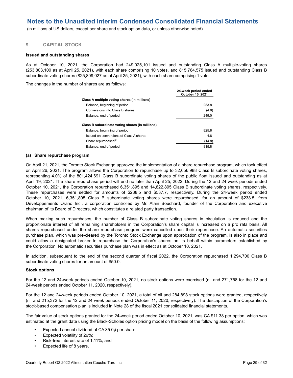(in millions of US dollars, except per share and stock option data, or unless otherwise noted)

#### **9. CAPITAL STOCK**

#### **Issued and outstanding shares**

As at October 10, 2021, the Corporation had 249,025,101 issued and outstanding Class A multiple-voting shares (253,803,100 as at April 25, 2021), with each share comprising 10 votes, and 815,764,575 issued and outstanding Class B subordinate voting shares (825,809,027 as at April 25, 2021), with each share comprising 1 vote.

**24**‑**week period ended** 

The changes in the number of shares are as follows:

|                                                 | October 10, 2021 |
|-------------------------------------------------|------------------|
| Class A multiple voting shares (in millions)    |                  |
| Balance, beginning of period                    | 253.8            |
| Conversions into Class B shares                 | (4.8)            |
| Balance, end of period                          | 249.0            |
| Class B subordinate voting shares (in millions) |                  |
| Balance, beginning of period                    | 825.8            |
| Issued on conversions of Class A shares         | 4.8              |
| Share repurchases <sup>(a)</sup>                | (14.8)           |
| Balance, end of period                          | 815.8            |

#### **(a) Share repurchase program**

On April 21, 2021, the Toronto Stock Exchange approved the implementation of a share repurchase program, which took effect on April 26, 2021. The program allows the Corporation to repurchase up to 32,056,988 Class B subordinate voting shares, representing 4.0% of the 801,424,691 Class B subordinate voting shares of the public float issued and outstanding as at April 19, 2021. The share repurchase period will end no later than April 25, 2022. During the 12 and 24‑week periods ended October 10, 2021, the Corporation repurchased 6,351,895 and 14,822,895 Class B subordinate voting shares, respectively. These repurchases were settled for amounts of \$238.5 and \$537.7, respectively. During the 24-week period ended October 10, 2021, 6,351,895 Class B subordinate voting shares were repurchased, for an amount of \$238.5, from Développements Orano Inc., a corporation controlled by Mr. Alain Bouchard, founder of the Corporation and executive chairman of its Board of Directors, which constitutes a related party transaction.

When making such repurchases, the number of Class B subordinate voting shares in circulation is reduced and the proportionate interest of all remaining shareholders in the Corporation's share capital is increased on a pro rata basis. All shares repurchased under the share repurchase program were cancelled upon their repurchase. An automatic securities purchase plan, which was pre-cleared by the Toronto Stock Exchange upon approbation of the program, is also in place and could allow a designated broker to repurchase the Corporation's shares on its behalf within parameters established by the Corporation. No automatic securities purchase plan was in effect as at October 10, 2021.

In addition, subsequent to the end of the second quarter of fiscal 2022, the Corporation repurchased 1,294,700 Class B subordinate voting shares for an amount of \$50.0.

#### **Stock options**

For the 12 and 24‑week periods ended October 10, 2021, no stock options were exercised (nil and 271,758 for the 12 and 24‑week periods ended October 11, 2020, respectively).

For the 12 and 24‑week periods ended October 10, 2021, a total of nil and 284,898 stock options were granted, respectively (nil and 215,372 for the 12 and 24‑week periods ended October 11, 2020, respectively). The description of the Corporation's stock-based compensation plan is included in Note 28 of the fiscal 2021 consolidated financial statements.

The fair value of stock options granted for the 24‑week period ended October 10, 2021, was CA \$11.38 per option, which was estimated at the grant date using the Black-Scholes option pricing model on the basis of the following assumptions:

\_\_\_\_\_\_\_\_\_\_\_\_\_\_\_\_\_\_\_\_\_\_\_\_\_\_\_\_\_\_\_\_\_\_\_\_\_\_\_\_\_\_\_\_\_\_\_\_\_\_\_\_\_\_\_\_\_\_\_\_\_\_\_\_\_\_\_\_\_\_\_\_\_\_

- Expected annual dividend of  $CA\,35.0¢$  per share;
- Expected volatility of 26%;
- Risk-free interest rate of 1.11%; and
- Expected life of 8 years.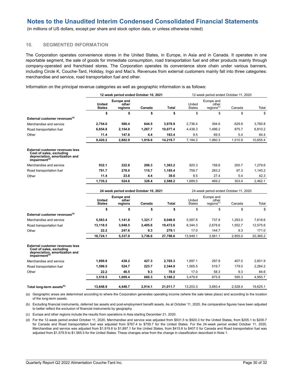(in millions of US dollars, except per share and stock option data, or unless otherwise noted)

#### **10. SEGMENTED INFORMATION**

The Corporation operates convenience stores in the United States, in Europe, in Asia and in Canada. It operates in one reportable segment, the sale of goods for immediate consumption, road transportation fuel and other products mainly through company-operated and franchised stores. The Corporation operates its convenience store chain under various banners, including Circle K, Couche-Tard, Holiday, Ingo and Mac's. Revenues from external customers mainly fall into three categories: merchandise and service, road transportation fuel and other.

**12**‑**week period ended October 10, 2021** 12‑week period ended October 11, 2020

|                                                                                                                                      | United<br><b>States</b>               | <b>Europe and</b><br>other<br>regions | Canada  | <b>Total</b>                          | United<br><b>States</b> | Europe and<br>other<br>regions <sup>(c)</sup> | Canada  | Total    |
|--------------------------------------------------------------------------------------------------------------------------------------|---------------------------------------|---------------------------------------|---------|---------------------------------------|-------------------------|-----------------------------------------------|---------|----------|
|                                                                                                                                      | \$                                    | \$                                    | \$      | \$                                    | \$                      | \$                                            | \$      | \$       |
| External customer revenues <sup>(a)</sup>                                                                                            |                                       |                                       |         |                                       |                         |                                               |         |          |
| Merchandise and service                                                                                                              | 2,754.0                               | 580.4                                 | 644.5   | 3.978.9                               | 2.736.4                 | 394.6                                         | 629.8   | 3.760.8  |
| Road transportation fuel                                                                                                             | 6,654.8                               | 2,154.9                               | 1,267.7 | 10,077.4                              | 4,438.3                 | 1,496.2                                       | 875.7   | 6,810.2  |
| Other                                                                                                                                | 11.4                                  | 147.6                                 | 4.4     | 163.4                                 | 9.5                     | 69.5                                          | 5.4     | 84.4     |
|                                                                                                                                      | 9,420.2                               | 2,882.9                               | 1,916.6 | 14,219.7                              | 7,184.2                 | 1,960.3                                       | 1,510.9 | 10,655.4 |
| <b>External customer revenues less</b><br>Cost of sales, excluding<br>depreciation, amortization and<br>impairment <sup>(d)</sup>    |                                       |                                       |         |                                       |                         |                                               |         |          |
| Merchandise and service                                                                                                              | 932.1                                 | 222.8                                 | 208.3   | 1,363.2                               | 920.3                   | 158.6                                         | 200.7   | 1,279.6  |
| Road transportation fuel                                                                                                             | 791.7                                 | 278.0                                 | 115.7   | 1.185.4                               | 759.7                   | 283.2                                         | 97.3    | 1,140.2  |
| Other                                                                                                                                | 11.4                                  | 23.8                                  | 4.4     | 39.6                                  | 9.5                     | 27.4                                          | 5.4     | 42.3     |
|                                                                                                                                      | 1,735.2                               | 524.6                                 | 328.4   | 2,588.2                               | 1,689.5                 | 469.2                                         | 303.4   | 2,462.1  |
|                                                                                                                                      | 24-week period ended October 10, 2021 |                                       |         | 24-week period ended October 11, 2020 |                         |                                               |         |          |
|                                                                                                                                      | United<br><b>States</b>               | <b>Europe and</b><br>other<br>regions | Canada  | <b>Total</b>                          | United<br><b>States</b> | Europe and<br>other<br>regions <sup>(c)</sup> | Canada  | Total    |
|                                                                                                                                      | \$                                    | \$                                    | \$      | \$                                    | \$                      | \$                                            | \$      | \$       |
| External customer revenues <sup>(a)</sup>                                                                                            |                                       |                                       |         |                                       |                         |                                               |         |          |
| Merchandise and service                                                                                                              | 5,583.4                               | 1.141.8                               | 1,321.7 | 8.046.9                               | 5.587.8                 | 737.8                                         | 1.293.0 | 7,618.6  |
| Road transportation fuel                                                                                                             | 13,118.5                              | 3,948.5                               | 2,405.6 | 19,472.6                              | 8,344.3                 | 2,678.6                                       | 1,552.7 | 12,575.6 |
| Other                                                                                                                                | 22.2                                  | 247.6                                 | 9.3     | 279.1                                 | 17.0                    | 144.7                                         | 9.3     | 171.0    |
|                                                                                                                                      | 18,724.1                              | 5,337.9                               | 3,736.6 | 27,798.6                              | 13,949.1                | 3,561.1                                       | 2,855.0 | 20,365.2 |
| <b>External customer revenues less</b><br>Cost of sales, excluding<br>depreciation, amortization and<br>$im$ pairment <sup>(d)</sup> |                                       |                                       |         |                                       |                         |                                               |         |          |
| Merchandise and service                                                                                                              | 1.899.8                               | 438.2                                 | 427.3   | 2.765.3                               | 1.897.1                 | 297.8                                         | 407.0   | 2.601.9  |
| Road transportation fuel                                                                                                             | 1,596.5                               | 524.7                                 | 223.7   | 2,344.9                               | 1,565.5                 | 519.7                                         | 179.0   | 2,264.2  |
| Other                                                                                                                                | 22.2                                  | 46.5                                  | 9.3     | 78.0                                  | 17.0                    | 58.3                                          | 9.3     | 84.6     |
|                                                                                                                                      | 3,518.5                               | 1.009.4                               | 660.3   | 5,188.2                               | 3,479.6                 | 875.8                                         | 595.3   | 4,950.7  |
| Total long-term assets <sup>(b)</sup>                                                                                                | 13.648.9                              | 4.448.7                               | 2.914.1 | 21.011.7                              | 13.203.3                | 3.893.4                                       | 2.528.4 | 19,625.1 |

Information on the principal revenue categories as well as geographic information is as follows:

(a) Geographic areas are determined according to where the Corporation generates operating income (where the sale takes place) and according to the location of the long-term assets.

(b) Excluding financial instruments, deferred tax assets and post-employment benefit assets. As at October 11, 2020, the comparative figures have been adjusted to better reflect the exclusion of financial instruments by geography.

(c) Europe and other regions include the results from operations in Asia starting December 21, 2020.

(d) For the 12‑week period ended October 11, 2020, Merchandise and service was adjusted from \$931.5 to \$920.3 for the United States, from \$205.1 to \$200.7 for Canada and Road transportation fuel was adjusted from \$767.4 to \$759.7 for the United States. For the 24‑week period ended October 11, 2020, Merchandise and service was adjusted from \$1,919.8 to \$1,897.1 for the United States, from \$415.6 to \$407.0 for Canada and Road transportation fuel was adjusted from \$1,579.9 to \$1,565.5 for the United States. These changes arise from the change in classification described in Note 1.

\_\_\_\_\_\_\_\_\_\_\_\_\_\_\_\_\_\_\_\_\_\_\_\_\_\_\_\_\_\_\_\_\_\_\_\_\_\_\_\_\_\_\_\_\_\_\_\_\_\_\_\_\_\_\_\_\_\_\_\_\_\_\_\_\_\_\_\_\_\_\_\_\_\_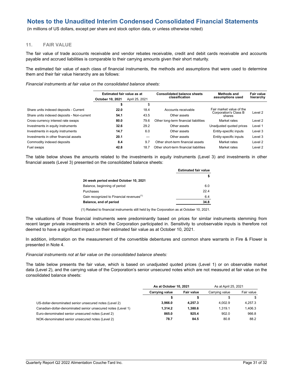(in millions of US dollars, except per share and stock option data, or unless otherwise noted)

#### **11. FAIR VALUE**

The fair value of trade accounts receivable and vendor rebates receivable, credit and debit cards receivable and accounts payable and accrued liabilities is comparable to their carrying amounts given their short maturity.

The estimated fair value of each class of financial instruments, the methods and assumptions that were used to determine them and their fair value hierarchy are as follows:

*Financial instruments at fair value on the consolidated balance sheets:* 

|                                            | Estimated fair value as at |                | <b>Consolidated balance sheets</b>     | <b>Methods and</b>              | Fair value |
|--------------------------------------------|----------------------------|----------------|----------------------------------------|---------------------------------|------------|
|                                            | October 10, 2021           | April 25, 2021 | classification                         | assumptions used                | hierarchy  |
|                                            | æ                          | \$             |                                        |                                 |            |
| Share units indexed deposits - Current     | 22.0                       | 18.4           | Accounts receivable                    | Fair market value of the        | Level 2    |
| Share units indexed deposits - Non-current | 54.1                       | 43.5           | Other assets                           | Corporation's Class B<br>shares |            |
| Cross-currency interest rate swaps         | 80.0                       | 79.6           | Other long-term financial liabilities  | Market rates                    | Level 2    |
| Investments in equity instruments          | 32.6                       | 29.2           | Other assets                           | Unadjusted quoted prices        | Level 1    |
| Investments in equity instruments          | 14.7                       | 6.0            | Other assets                           | Entity-specific inputs          | Level 3    |
| Investments in other financial assets      | 20.1                       |                | Other assets                           | Entity-specific inputs          | Level 3    |
| Commodity indexed deposits                 | 8.4                        | 9.7            | Other short-term financial assets      | Market rates                    | Level 2    |
| Fuel swaps                                 | 42.8                       | 18.7           | Other short-term financial liabilities | Market rates                    | Level 2    |

The table below shows the amounts related to the investments in equity instruments (Level 3) and investments in other financial assets (Level 3) presented on the consolidated balance sheets:

|                                                      | <b>Estimated fair value</b> |  |
|------------------------------------------------------|-----------------------------|--|
|                                                      |                             |  |
| 24-week period ended October 10, 2021                |                             |  |
| Balance, beginning of period                         | 6.0                         |  |
| Purchases                                            | 22.4                        |  |
| Gain recognized to Financial revenues <sup>(1)</sup> | 6.4                         |  |
| Balance, end of period                               | 34.8                        |  |

(1) Related to financial instruments still held by the Corporation as at October 10, 2021.

The valuations of those financial instruments were predominantly based on prices for similar instruments stemming from recent larger private investments in which the Corporation participated in. Sensitivity to unobservable inputs is therefore not deemed to have a significant impact on their estimated fair value as at October 10, 2021.

In addition, information on the measurement of the convertible debentures and common share warrants in Fire & Flower is presented in Note 4.

*Financial instruments not at fair value on the consolidated balance sheets:*

The table below presents the fair value, which is based on unadjusted quoted prices (Level 1) or on observable market data (Level 2), and the carrying value of the Corporation's senior unsecured notes which are not measured at fair value on the consolidated balance sheets:

|                                                              | As at October 10, 2021 |                   | As at April 25, 2021 |            |
|--------------------------------------------------------------|------------------------|-------------------|----------------------|------------|
|                                                              | Carrying value         | <b>Fair value</b> | Carrying value       | Fair value |
|                                                              |                        |                   |                      | S          |
| US-dollar-denominated senior unsecured notes (Level 2)       | 3.966.0                | 4.257.3           | 4.002.9              | 4.257.3    |
| Canadian-dollar-denominated senior unsecured notes (Level 1) | 1.314.2                | 1.380.6           | 1.319.1              | 1.406.3    |
| Euro-denominated senior unsecured notes (Level 2)            | 865.0                  | 925.4             | 902.0                | 966.8      |
| NOK-denominated senior unsecured notes (Level 2)             | 78.7                   | 84.5              | 80.8                 | 88.2       |

\_\_\_\_\_\_\_\_\_\_\_\_\_\_\_\_\_\_\_\_\_\_\_\_\_\_\_\_\_\_\_\_\_\_\_\_\_\_\_\_\_\_\_\_\_\_\_\_\_\_\_\_\_\_\_\_\_\_\_\_\_\_\_\_\_\_\_\_\_\_\_\_\_\_